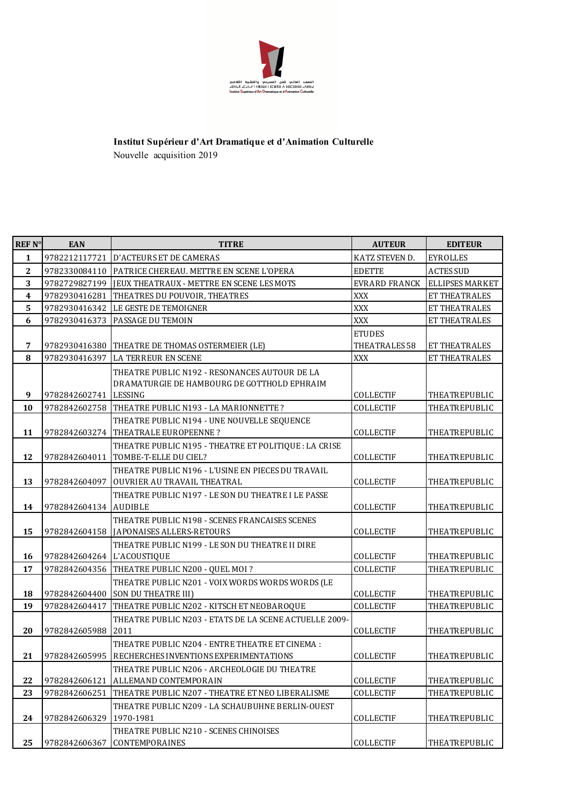

## Nouvelle acquisition 2019 **Institut Supérieur d'Art Dramatique et d'Animation Culturelle**

| <b>REF N°</b>           | <b>EAN</b>    | <b>TITRE</b>                                                                                            | <b>AUTEUR</b>        | <b>EDITEUR</b>       |
|-------------------------|---------------|---------------------------------------------------------------------------------------------------------|----------------------|----------------------|
| $\mathbf{1}$            | 9782212117721 | <b>D'ACTEURS ET DE CAMERAS</b>                                                                          | KATZ STEVEN D.       | <b>EYROLLES</b>      |
| $\mathbf{2}$            | 9782330084110 | PATRICE CHEREAU. METTRE EN SCENE L'OPERA                                                                | <b>EDETTE</b>        | <b>ACTES SUD</b>     |
| $\mathbf{3}$            | 9782729827199 | JEUX THEATRAUX - METTRE EN SCENE LES MOTS                                                               | <b>EVRARD FRANCK</b> | ELLIPSES MARKET      |
| $\overline{\mathbf{4}}$ | 9782930416281 | THEATRES DU POUVOIR, THEATRES                                                                           | <b>XXX</b>           | ET THEATRALES        |
| 5                       | 9782930416342 | LE GESTE DE TEMOIGNER                                                                                   | XXX                  | ET THEATRALES        |
| 6                       | 9782930416373 | PASSAGE DU TEMOIN                                                                                       | <b>XXX</b>           | ET THEATRALES        |
|                         |               |                                                                                                         | <b>ETUDES</b>        |                      |
| 7                       | 9782930416380 | THEATRE DE THOMAS OSTERMEIER (LE)                                                                       | THEATRALES 58        | ET THEATRALES        |
| $\bf 8$                 | 9782930416397 | LA TERREUR EN SCENE                                                                                     | <b>XXX</b>           | ET THEATRALES        |
| 9                       | 9782842602741 | THEATRE PUBLIC N192 - RESONANCES AUTOUR DE LA<br>DRAMATURGIE DE HAMBOURG DE GOTTHOLD EPHRAIM<br>LESSING | COLLECTIF            | THEATREPUBLIC        |
| 10                      |               | THEATRE PUBLIC N193 - LA MARIONNETTE ?                                                                  | COLLECTIF            | <b>THEATREPUBLIC</b> |
|                         | 9782842602758 | THEATRE PUBLIC N194 - UNE NOUVELLE SEQUENCE                                                             |                      |                      |
| 11                      | 9782842603274 | THEATRALE EUROPEENNE?                                                                                   | <b>COLLECTIF</b>     | THEATREPUBLIC        |
|                         |               | THEATRE PUBLIC N195 - THEATRE ET POLITIQUE : LA CRISE                                                   |                      |                      |
| 12                      | 9782842604011 | TOMBE-T-ELLE DU CIEL?                                                                                   | <b>COLLECTIF</b>     | THEATREPUBLIC        |
| 13                      | 9782842604097 | THEATRE PUBLIC N196 - L'USINE EN PIECES DU TRAVAIL<br>OUVRIER AU TRAVAIL THEATRAL                       | COLLECTIF            | THEATREPUBLIC        |
| 14                      | 9782842604134 | THEATRE PUBLIC N197 - LE SON DU THEATRE I LE PASSE<br><b>AUDIBLE</b>                                    | COLLECTIF            | THEATREPUBLIC        |
| 15                      | 9782842604158 | THEATRE PUBLIC N198 - SCENES FRANCAISES SCENES<br>JAPONAISES ALLERS-RETOURS                             | COLLECTIF            | THEATREPUBLIC        |
| 16                      | 9782842604264 | THEATRE PUBLIC N199 - LE SON DU THEATRE II DIRE<br>L'ACOUSTIQUE                                         | COLLECTIF            | THEATREPUBLIC        |
| 17                      | 9782842604356 | THEATRE PUBLIC N200 - QUEL MOI?                                                                         | <b>COLLECTIF</b>     | THEATREPUBLIC        |
|                         |               | THEATRE PUBLIC N201 - VOIX WORDS WORDS WORDS (LE                                                        |                      |                      |
| 18                      | 9782842604400 | <b>SON DU THEATRE III)</b>                                                                              | COLLECTIF            | THEATREPUBLIC        |
| 19                      | 9782842604417 | THEATRE PUBLIC N202 - KITSCH ET NEOBAROQUE                                                              | COLLECTIF            | <b>THEATREPUBLIC</b> |
| 20                      | 9782842605988 | THEATRE PUBLIC N203 - ETATS DE LA SCENE ACTUELLE 2009-<br>2011                                          | COLLECTIF            | THEATREPUBLIC        |
| 21                      | 9782842605995 | THEATRE PUBLIC N204 - ENTRE THEATRE ET CINEMA :<br>RECHERCHES INVENTIONS EXPERIMENTATIONS               | COLLECTIF            | <b>THEATREPUBLIC</b> |
|                         |               | THEATRE PUBLIC N206 - ARCHEOLOGIE DU THEATRE                                                            |                      |                      |
| 22                      | 9782842606121 | ALLEMAND CONTEMPORAIN                                                                                   | COLLECTIF            | THEATREPUBLIC        |
| 23                      | 9782842606251 | THEATRE PUBLIC N207 - THEATRE ET NEO LIBERALISME                                                        | COLLECTIF            | THEATREPUBLIC        |
| 24                      | 9782842606329 | THEATRE PUBLIC N209 - LA SCHAUBUHNE BERLIN-OUEST<br>1970-1981                                           | COLLECTIF            | <b>THEATREPUBLIC</b> |
| 25                      | 9782842606367 | THEATRE PUBLIC N210 - SCENES CHINOISES<br><b>CONTEMPORAINES</b>                                         | COLLECTIF            | THEATREPUBLIC        |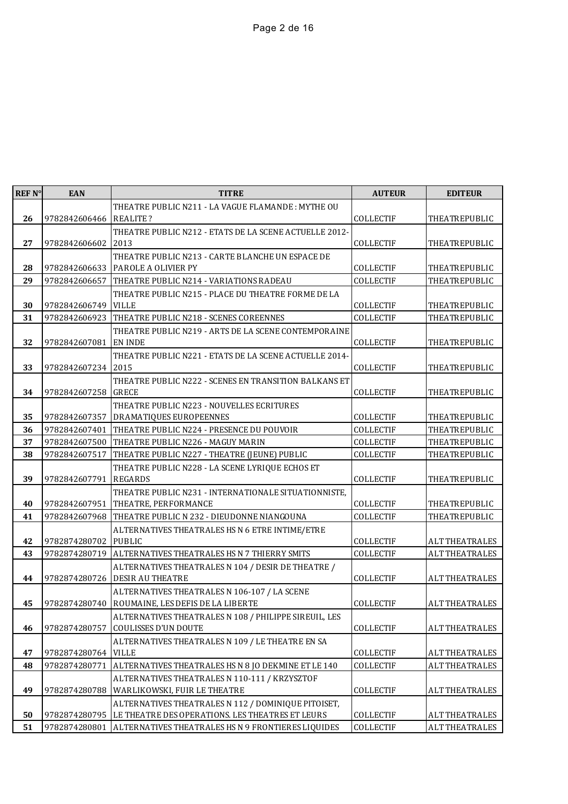| THEATRE PUBLIC N211 - LA VAGUE FLAMANDE: MYTHE OU<br>26<br>9782842606466<br><b>COLLECTIF</b><br>THEATREPUBLIC<br><b>REALITE?</b><br>THEATRE PUBLIC N212 - ETATS DE LA SCENE ACTUELLE 2012-<br>27<br>9782842606602<br>2013<br><b>COLLECTIF</b><br>THEATREPUBLIC<br>THEATRE PUBLIC N213 - CARTE BLANCHE UN ESPACE DE<br>28<br>COLLECTIF<br>9782842606633<br>PAROLE A OLIVIER PY<br>THEATREPUBLIC<br>29<br>9782842606657<br><b>COLLECTIF</b><br>THEATREPUBLIC<br>THEATRE PUBLIC N214 - VARIATIONS RADEAU<br>THEATRE PUBLIC N215 - PLACE DU THEATRE FORME DE LA<br>30<br><b>VILLE</b><br>COLLECTIF<br>9782842606749<br>THEATREPUBLIC<br>31<br>9782842606923<br>THEATRE PUBLIC N218 - SCENES COREENNES<br><b>COLLECTIF</b><br>THEATREPUBLIC<br>THEATRE PUBLIC N219 - ARTS DE LA SCENE CONTEMPORAINE<br>32<br>9782842607081<br><b>EN INDE</b><br>COLLECTIF<br>THEATREPUBLIC<br>THEATRE PUBLIC N221 - ETATS DE LA SCENE ACTUELLE 2014-<br>33<br>9782842607234<br>2015<br><b>COLLECTIF</b><br>THEATREPUBLIC<br>THEATRE PUBLIC N222 - SCENES EN TRANSITION BALKANS ET<br>34<br>9782842607258<br><b>GRECE</b><br>COLLECTIF<br>THEATREPUBLIC<br>THEATRE PUBLIC N223 - NOUVELLES ECRITURES<br>35<br>DRAMATIQUES EUROPEENNES<br>COLLECTIF<br>THEATREPUBLIC<br>9782842607357<br>36<br>9782842607401<br>THEATRE PUBLIC N224 - PRESENCE DU POUVOIR<br><b>COLLECTIF</b><br>THEATREPUBLIC<br>37<br>COLLECTIF<br>THEATREPUBLIC<br>9782842607500<br>THEATRE PUBLIC N226 - MAGUY MARIN<br>38<br>COLLECTIF<br>9782842607517<br>THEATRE PUBLIC N227 - THEATRE (JEUNE) PUBLIC<br>THEATREPUBLIC<br>THEATRE PUBLIC N228 - LA SCENE LYRIQUE ECHOS ET<br>39<br>9782842607791<br><b>REGARDS</b><br><b>COLLECTIF</b><br>THEATREPUBLIC<br>THEATRE PUBLIC N231 - INTERNATIONALE SITUATIONNISTE,<br>40<br>COLLECTIF<br>9782842607951<br>THEATRE, PERFORMANCE<br>THEATREPUBLIC<br>THEATRE PUBLIC N 232 - DIEUDONNE NIANGOUNA<br>COLLECTIF<br>41<br>9782842607968<br>THEATREPUBLIC<br>ALTERNATIVES THEATRALES HS N 6 ETRE INTIME/ETRE<br>42<br>9782874280702<br><b>PUBLIC</b><br><b>COLLECTIF</b><br><b>ALT THEATRALES</b><br>ALTERNATIVES THEATRALES HS N 7 THIERRY SMITS<br>43<br>9782874280719<br><b>COLLECTIF</b><br><b>ALT THEATRALES</b><br>ALTERNATIVES THEATRALES N 104 / DESIR DE THEATRE /<br><b>DESIR AU THEATRE</b><br><b>COLLECTIF</b><br>44<br>9782874280726<br><b>ALT THEATRALES</b><br>ALTERNATIVES THEATRALES N 106-107 / LA SCENE<br>ROUMAINE, LES DEFIS DE LA LIBERTE<br>45<br>9782874280740<br>COLLECTIF<br><b>ALT THEATRALES</b><br>ALTERNATIVES THEATRALES N 108 / PHILIPPE SIREUIL, LES<br>46<br><b>COULISSES D'UN DOUTE</b><br>COLLECTIF<br><b>ALT THEATRALES</b><br>9782874280757<br>ALTERNATIVES THEATRALES N 109 / LE THEATRE EN SA | REF N° | <b>EAN</b> | <b>TITRE</b> | <b>AUTEUR</b> | <b>EDITEUR</b>        |
|-----------------------------------------------------------------------------------------------------------------------------------------------------------------------------------------------------------------------------------------------------------------------------------------------------------------------------------------------------------------------------------------------------------------------------------------------------------------------------------------------------------------------------------------------------------------------------------------------------------------------------------------------------------------------------------------------------------------------------------------------------------------------------------------------------------------------------------------------------------------------------------------------------------------------------------------------------------------------------------------------------------------------------------------------------------------------------------------------------------------------------------------------------------------------------------------------------------------------------------------------------------------------------------------------------------------------------------------------------------------------------------------------------------------------------------------------------------------------------------------------------------------------------------------------------------------------------------------------------------------------------------------------------------------------------------------------------------------------------------------------------------------------------------------------------------------------------------------------------------------------------------------------------------------------------------------------------------------------------------------------------------------------------------------------------------------------------------------------------------------------------------------------------------------------------------------------------------------------------------------------------------------------------------------------------------------------------------------------------------------------------------------------------------------------------------------------------------------------------------------------------------------------------------------------------------------------------------------------------------------------------------------------------------------------------------------------------------------------------|--------|------------|--------------|---------------|-----------------------|
|                                                                                                                                                                                                                                                                                                                                                                                                                                                                                                                                                                                                                                                                                                                                                                                                                                                                                                                                                                                                                                                                                                                                                                                                                                                                                                                                                                                                                                                                                                                                                                                                                                                                                                                                                                                                                                                                                                                                                                                                                                                                                                                                                                                                                                                                                                                                                                                                                                                                                                                                                                                                                                                                                                                             |        |            |              |               |                       |
|                                                                                                                                                                                                                                                                                                                                                                                                                                                                                                                                                                                                                                                                                                                                                                                                                                                                                                                                                                                                                                                                                                                                                                                                                                                                                                                                                                                                                                                                                                                                                                                                                                                                                                                                                                                                                                                                                                                                                                                                                                                                                                                                                                                                                                                                                                                                                                                                                                                                                                                                                                                                                                                                                                                             |        |            |              |               |                       |
|                                                                                                                                                                                                                                                                                                                                                                                                                                                                                                                                                                                                                                                                                                                                                                                                                                                                                                                                                                                                                                                                                                                                                                                                                                                                                                                                                                                                                                                                                                                                                                                                                                                                                                                                                                                                                                                                                                                                                                                                                                                                                                                                                                                                                                                                                                                                                                                                                                                                                                                                                                                                                                                                                                                             |        |            |              |               |                       |
|                                                                                                                                                                                                                                                                                                                                                                                                                                                                                                                                                                                                                                                                                                                                                                                                                                                                                                                                                                                                                                                                                                                                                                                                                                                                                                                                                                                                                                                                                                                                                                                                                                                                                                                                                                                                                                                                                                                                                                                                                                                                                                                                                                                                                                                                                                                                                                                                                                                                                                                                                                                                                                                                                                                             |        |            |              |               |                       |
|                                                                                                                                                                                                                                                                                                                                                                                                                                                                                                                                                                                                                                                                                                                                                                                                                                                                                                                                                                                                                                                                                                                                                                                                                                                                                                                                                                                                                                                                                                                                                                                                                                                                                                                                                                                                                                                                                                                                                                                                                                                                                                                                                                                                                                                                                                                                                                                                                                                                                                                                                                                                                                                                                                                             |        |            |              |               |                       |
|                                                                                                                                                                                                                                                                                                                                                                                                                                                                                                                                                                                                                                                                                                                                                                                                                                                                                                                                                                                                                                                                                                                                                                                                                                                                                                                                                                                                                                                                                                                                                                                                                                                                                                                                                                                                                                                                                                                                                                                                                                                                                                                                                                                                                                                                                                                                                                                                                                                                                                                                                                                                                                                                                                                             |        |            |              |               |                       |
|                                                                                                                                                                                                                                                                                                                                                                                                                                                                                                                                                                                                                                                                                                                                                                                                                                                                                                                                                                                                                                                                                                                                                                                                                                                                                                                                                                                                                                                                                                                                                                                                                                                                                                                                                                                                                                                                                                                                                                                                                                                                                                                                                                                                                                                                                                                                                                                                                                                                                                                                                                                                                                                                                                                             |        |            |              |               |                       |
|                                                                                                                                                                                                                                                                                                                                                                                                                                                                                                                                                                                                                                                                                                                                                                                                                                                                                                                                                                                                                                                                                                                                                                                                                                                                                                                                                                                                                                                                                                                                                                                                                                                                                                                                                                                                                                                                                                                                                                                                                                                                                                                                                                                                                                                                                                                                                                                                                                                                                                                                                                                                                                                                                                                             |        |            |              |               |                       |
|                                                                                                                                                                                                                                                                                                                                                                                                                                                                                                                                                                                                                                                                                                                                                                                                                                                                                                                                                                                                                                                                                                                                                                                                                                                                                                                                                                                                                                                                                                                                                                                                                                                                                                                                                                                                                                                                                                                                                                                                                                                                                                                                                                                                                                                                                                                                                                                                                                                                                                                                                                                                                                                                                                                             |        |            |              |               |                       |
|                                                                                                                                                                                                                                                                                                                                                                                                                                                                                                                                                                                                                                                                                                                                                                                                                                                                                                                                                                                                                                                                                                                                                                                                                                                                                                                                                                                                                                                                                                                                                                                                                                                                                                                                                                                                                                                                                                                                                                                                                                                                                                                                                                                                                                                                                                                                                                                                                                                                                                                                                                                                                                                                                                                             |        |            |              |               |                       |
|                                                                                                                                                                                                                                                                                                                                                                                                                                                                                                                                                                                                                                                                                                                                                                                                                                                                                                                                                                                                                                                                                                                                                                                                                                                                                                                                                                                                                                                                                                                                                                                                                                                                                                                                                                                                                                                                                                                                                                                                                                                                                                                                                                                                                                                                                                                                                                                                                                                                                                                                                                                                                                                                                                                             |        |            |              |               |                       |
|                                                                                                                                                                                                                                                                                                                                                                                                                                                                                                                                                                                                                                                                                                                                                                                                                                                                                                                                                                                                                                                                                                                                                                                                                                                                                                                                                                                                                                                                                                                                                                                                                                                                                                                                                                                                                                                                                                                                                                                                                                                                                                                                                                                                                                                                                                                                                                                                                                                                                                                                                                                                                                                                                                                             |        |            |              |               |                       |
|                                                                                                                                                                                                                                                                                                                                                                                                                                                                                                                                                                                                                                                                                                                                                                                                                                                                                                                                                                                                                                                                                                                                                                                                                                                                                                                                                                                                                                                                                                                                                                                                                                                                                                                                                                                                                                                                                                                                                                                                                                                                                                                                                                                                                                                                                                                                                                                                                                                                                                                                                                                                                                                                                                                             |        |            |              |               |                       |
|                                                                                                                                                                                                                                                                                                                                                                                                                                                                                                                                                                                                                                                                                                                                                                                                                                                                                                                                                                                                                                                                                                                                                                                                                                                                                                                                                                                                                                                                                                                                                                                                                                                                                                                                                                                                                                                                                                                                                                                                                                                                                                                                                                                                                                                                                                                                                                                                                                                                                                                                                                                                                                                                                                                             |        |            |              |               |                       |
|                                                                                                                                                                                                                                                                                                                                                                                                                                                                                                                                                                                                                                                                                                                                                                                                                                                                                                                                                                                                                                                                                                                                                                                                                                                                                                                                                                                                                                                                                                                                                                                                                                                                                                                                                                                                                                                                                                                                                                                                                                                                                                                                                                                                                                                                                                                                                                                                                                                                                                                                                                                                                                                                                                                             |        |            |              |               |                       |
|                                                                                                                                                                                                                                                                                                                                                                                                                                                                                                                                                                                                                                                                                                                                                                                                                                                                                                                                                                                                                                                                                                                                                                                                                                                                                                                                                                                                                                                                                                                                                                                                                                                                                                                                                                                                                                                                                                                                                                                                                                                                                                                                                                                                                                                                                                                                                                                                                                                                                                                                                                                                                                                                                                                             |        |            |              |               |                       |
|                                                                                                                                                                                                                                                                                                                                                                                                                                                                                                                                                                                                                                                                                                                                                                                                                                                                                                                                                                                                                                                                                                                                                                                                                                                                                                                                                                                                                                                                                                                                                                                                                                                                                                                                                                                                                                                                                                                                                                                                                                                                                                                                                                                                                                                                                                                                                                                                                                                                                                                                                                                                                                                                                                                             |        |            |              |               |                       |
|                                                                                                                                                                                                                                                                                                                                                                                                                                                                                                                                                                                                                                                                                                                                                                                                                                                                                                                                                                                                                                                                                                                                                                                                                                                                                                                                                                                                                                                                                                                                                                                                                                                                                                                                                                                                                                                                                                                                                                                                                                                                                                                                                                                                                                                                                                                                                                                                                                                                                                                                                                                                                                                                                                                             |        |            |              |               |                       |
|                                                                                                                                                                                                                                                                                                                                                                                                                                                                                                                                                                                                                                                                                                                                                                                                                                                                                                                                                                                                                                                                                                                                                                                                                                                                                                                                                                                                                                                                                                                                                                                                                                                                                                                                                                                                                                                                                                                                                                                                                                                                                                                                                                                                                                                                                                                                                                                                                                                                                                                                                                                                                                                                                                                             |        |            |              |               |                       |
|                                                                                                                                                                                                                                                                                                                                                                                                                                                                                                                                                                                                                                                                                                                                                                                                                                                                                                                                                                                                                                                                                                                                                                                                                                                                                                                                                                                                                                                                                                                                                                                                                                                                                                                                                                                                                                                                                                                                                                                                                                                                                                                                                                                                                                                                                                                                                                                                                                                                                                                                                                                                                                                                                                                             |        |            |              |               |                       |
|                                                                                                                                                                                                                                                                                                                                                                                                                                                                                                                                                                                                                                                                                                                                                                                                                                                                                                                                                                                                                                                                                                                                                                                                                                                                                                                                                                                                                                                                                                                                                                                                                                                                                                                                                                                                                                                                                                                                                                                                                                                                                                                                                                                                                                                                                                                                                                                                                                                                                                                                                                                                                                                                                                                             |        |            |              |               |                       |
|                                                                                                                                                                                                                                                                                                                                                                                                                                                                                                                                                                                                                                                                                                                                                                                                                                                                                                                                                                                                                                                                                                                                                                                                                                                                                                                                                                                                                                                                                                                                                                                                                                                                                                                                                                                                                                                                                                                                                                                                                                                                                                                                                                                                                                                                                                                                                                                                                                                                                                                                                                                                                                                                                                                             |        |            |              |               |                       |
|                                                                                                                                                                                                                                                                                                                                                                                                                                                                                                                                                                                                                                                                                                                                                                                                                                                                                                                                                                                                                                                                                                                                                                                                                                                                                                                                                                                                                                                                                                                                                                                                                                                                                                                                                                                                                                                                                                                                                                                                                                                                                                                                                                                                                                                                                                                                                                                                                                                                                                                                                                                                                                                                                                                             |        |            |              |               |                       |
|                                                                                                                                                                                                                                                                                                                                                                                                                                                                                                                                                                                                                                                                                                                                                                                                                                                                                                                                                                                                                                                                                                                                                                                                                                                                                                                                                                                                                                                                                                                                                                                                                                                                                                                                                                                                                                                                                                                                                                                                                                                                                                                                                                                                                                                                                                                                                                                                                                                                                                                                                                                                                                                                                                                             |        |            |              |               |                       |
|                                                                                                                                                                                                                                                                                                                                                                                                                                                                                                                                                                                                                                                                                                                                                                                                                                                                                                                                                                                                                                                                                                                                                                                                                                                                                                                                                                                                                                                                                                                                                                                                                                                                                                                                                                                                                                                                                                                                                                                                                                                                                                                                                                                                                                                                                                                                                                                                                                                                                                                                                                                                                                                                                                                             |        |            |              |               |                       |
|                                                                                                                                                                                                                                                                                                                                                                                                                                                                                                                                                                                                                                                                                                                                                                                                                                                                                                                                                                                                                                                                                                                                                                                                                                                                                                                                                                                                                                                                                                                                                                                                                                                                                                                                                                                                                                                                                                                                                                                                                                                                                                                                                                                                                                                                                                                                                                                                                                                                                                                                                                                                                                                                                                                             |        |            |              |               |                       |
|                                                                                                                                                                                                                                                                                                                                                                                                                                                                                                                                                                                                                                                                                                                                                                                                                                                                                                                                                                                                                                                                                                                                                                                                                                                                                                                                                                                                                                                                                                                                                                                                                                                                                                                                                                                                                                                                                                                                                                                                                                                                                                                                                                                                                                                                                                                                                                                                                                                                                                                                                                                                                                                                                                                             |        |            |              |               |                       |
|                                                                                                                                                                                                                                                                                                                                                                                                                                                                                                                                                                                                                                                                                                                                                                                                                                                                                                                                                                                                                                                                                                                                                                                                                                                                                                                                                                                                                                                                                                                                                                                                                                                                                                                                                                                                                                                                                                                                                                                                                                                                                                                                                                                                                                                                                                                                                                                                                                                                                                                                                                                                                                                                                                                             |        |            |              |               |                       |
|                                                                                                                                                                                                                                                                                                                                                                                                                                                                                                                                                                                                                                                                                                                                                                                                                                                                                                                                                                                                                                                                                                                                                                                                                                                                                                                                                                                                                                                                                                                                                                                                                                                                                                                                                                                                                                                                                                                                                                                                                                                                                                                                                                                                                                                                                                                                                                                                                                                                                                                                                                                                                                                                                                                             |        |            |              |               |                       |
|                                                                                                                                                                                                                                                                                                                                                                                                                                                                                                                                                                                                                                                                                                                                                                                                                                                                                                                                                                                                                                                                                                                                                                                                                                                                                                                                                                                                                                                                                                                                                                                                                                                                                                                                                                                                                                                                                                                                                                                                                                                                                                                                                                                                                                                                                                                                                                                                                                                                                                                                                                                                                                                                                                                             |        |            |              |               |                       |
|                                                                                                                                                                                                                                                                                                                                                                                                                                                                                                                                                                                                                                                                                                                                                                                                                                                                                                                                                                                                                                                                                                                                                                                                                                                                                                                                                                                                                                                                                                                                                                                                                                                                                                                                                                                                                                                                                                                                                                                                                                                                                                                                                                                                                                                                                                                                                                                                                                                                                                                                                                                                                                                                                                                             |        |            |              |               |                       |
|                                                                                                                                                                                                                                                                                                                                                                                                                                                                                                                                                                                                                                                                                                                                                                                                                                                                                                                                                                                                                                                                                                                                                                                                                                                                                                                                                                                                                                                                                                                                                                                                                                                                                                                                                                                                                                                                                                                                                                                                                                                                                                                                                                                                                                                                                                                                                                                                                                                                                                                                                                                                                                                                                                                             |        |            |              |               |                       |
|                                                                                                                                                                                                                                                                                                                                                                                                                                                                                                                                                                                                                                                                                                                                                                                                                                                                                                                                                                                                                                                                                                                                                                                                                                                                                                                                                                                                                                                                                                                                                                                                                                                                                                                                                                                                                                                                                                                                                                                                                                                                                                                                                                                                                                                                                                                                                                                                                                                                                                                                                                                                                                                                                                                             |        |            |              |               |                       |
|                                                                                                                                                                                                                                                                                                                                                                                                                                                                                                                                                                                                                                                                                                                                                                                                                                                                                                                                                                                                                                                                                                                                                                                                                                                                                                                                                                                                                                                                                                                                                                                                                                                                                                                                                                                                                                                                                                                                                                                                                                                                                                                                                                                                                                                                                                                                                                                                                                                                                                                                                                                                                                                                                                                             |        |            |              |               |                       |
|                                                                                                                                                                                                                                                                                                                                                                                                                                                                                                                                                                                                                                                                                                                                                                                                                                                                                                                                                                                                                                                                                                                                                                                                                                                                                                                                                                                                                                                                                                                                                                                                                                                                                                                                                                                                                                                                                                                                                                                                                                                                                                                                                                                                                                                                                                                                                                                                                                                                                                                                                                                                                                                                                                                             |        |            |              |               |                       |
| 47<br><b>VILLE</b><br>COLLECTIF<br>9782874280764                                                                                                                                                                                                                                                                                                                                                                                                                                                                                                                                                                                                                                                                                                                                                                                                                                                                                                                                                                                                                                                                                                                                                                                                                                                                                                                                                                                                                                                                                                                                                                                                                                                                                                                                                                                                                                                                                                                                                                                                                                                                                                                                                                                                                                                                                                                                                                                                                                                                                                                                                                                                                                                                            |        |            |              |               | <b>ALT THEATRALES</b> |
| <b>COLLECTIF</b><br>48<br>ALTERNATIVES THEATRALES HS N 8 JO DEKMINE ET LE 140<br>9782874280771                                                                                                                                                                                                                                                                                                                                                                                                                                                                                                                                                                                                                                                                                                                                                                                                                                                                                                                                                                                                                                                                                                                                                                                                                                                                                                                                                                                                                                                                                                                                                                                                                                                                                                                                                                                                                                                                                                                                                                                                                                                                                                                                                                                                                                                                                                                                                                                                                                                                                                                                                                                                                              |        |            |              |               | <b>ALT THEATRALES</b> |
| ALTERNATIVES THEATRALES N 110-111 / KRZYSZTOF                                                                                                                                                                                                                                                                                                                                                                                                                                                                                                                                                                                                                                                                                                                                                                                                                                                                                                                                                                                                                                                                                                                                                                                                                                                                                                                                                                                                                                                                                                                                                                                                                                                                                                                                                                                                                                                                                                                                                                                                                                                                                                                                                                                                                                                                                                                                                                                                                                                                                                                                                                                                                                                                               |        |            |              |               |                       |
| 49<br>9782874280788<br>WARLIKOWSKI, FUIR LE THEATRE<br>COLLECTIF                                                                                                                                                                                                                                                                                                                                                                                                                                                                                                                                                                                                                                                                                                                                                                                                                                                                                                                                                                                                                                                                                                                                                                                                                                                                                                                                                                                                                                                                                                                                                                                                                                                                                                                                                                                                                                                                                                                                                                                                                                                                                                                                                                                                                                                                                                                                                                                                                                                                                                                                                                                                                                                            |        |            |              |               | <b>ALT THEATRALES</b> |
| ALTERNATIVES THEATRALES N 112 / DOMINIQUE PITOISET,                                                                                                                                                                                                                                                                                                                                                                                                                                                                                                                                                                                                                                                                                                                                                                                                                                                                                                                                                                                                                                                                                                                                                                                                                                                                                                                                                                                                                                                                                                                                                                                                                                                                                                                                                                                                                                                                                                                                                                                                                                                                                                                                                                                                                                                                                                                                                                                                                                                                                                                                                                                                                                                                         |        |            |              |               |                       |
| 50<br>LE THEATRE DES OPERATIONS. LES THEATRES ET LEURS<br>9782874280795<br>COLLECTIF                                                                                                                                                                                                                                                                                                                                                                                                                                                                                                                                                                                                                                                                                                                                                                                                                                                                                                                                                                                                                                                                                                                                                                                                                                                                                                                                                                                                                                                                                                                                                                                                                                                                                                                                                                                                                                                                                                                                                                                                                                                                                                                                                                                                                                                                                                                                                                                                                                                                                                                                                                                                                                        |        |            |              |               | ALT THEATRALES        |
| 51<br>COLLECTIF<br>9782874280801<br>ALTERNATIVES THEATRALES HS N 9 FRONTIERES LIQUIDES                                                                                                                                                                                                                                                                                                                                                                                                                                                                                                                                                                                                                                                                                                                                                                                                                                                                                                                                                                                                                                                                                                                                                                                                                                                                                                                                                                                                                                                                                                                                                                                                                                                                                                                                                                                                                                                                                                                                                                                                                                                                                                                                                                                                                                                                                                                                                                                                                                                                                                                                                                                                                                      |        |            |              |               | <b>ALT THEATRALES</b> |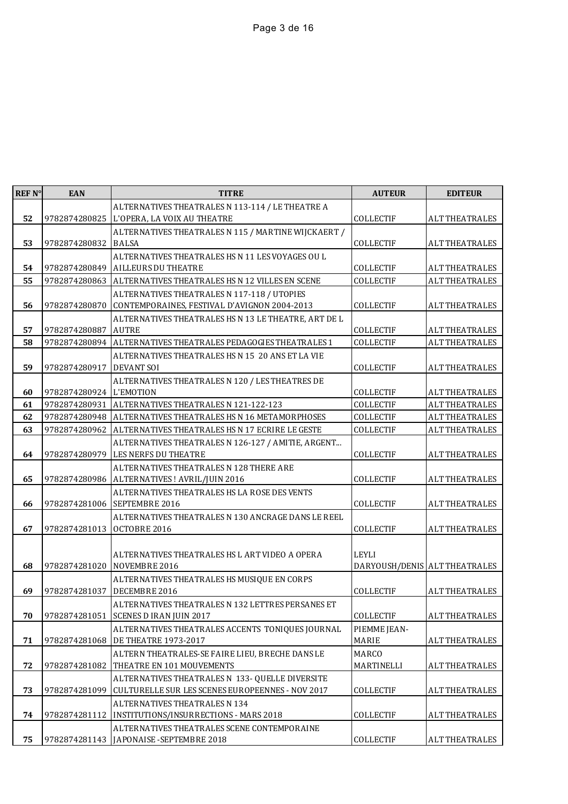| <b>REF N°</b> | <b>EAN</b>    | <b>TITRE</b>                                                                                  | <b>AUTEUR</b>                 | <b>EDITEUR</b>        |
|---------------|---------------|-----------------------------------------------------------------------------------------------|-------------------------------|-----------------------|
|               |               | ALTERNATIVES THEATRALES N 113-114 / LE THEATRE A                                              |                               |                       |
| 52            | 9782874280825 | L'OPERA, LA VOIX AU THEATRE                                                                   | <b>COLLECTIF</b>              | <b>ALT THEATRALES</b> |
|               |               | ALTERNATIVES THEATRALES N 115 / MARTINE WIJCKAERT /                                           |                               |                       |
| 53            | 9782874280832 | <b>BALSA</b>                                                                                  | <b>COLLECTIF</b>              | <b>ALT THEATRALES</b> |
|               |               | ALTERNATIVES THEATRALES HS N 11 LES VOYAGES OU L                                              |                               |                       |
| 54            | 9782874280849 | <b>AILLEURS DU THEATRE</b>                                                                    | COLLECTIF                     | <b>ALT THEATRALES</b> |
| 55            | 9782874280863 | ALTERNATIVES THEATRALES HS N 12 VILLES EN SCENE                                               | COLLECTIF                     | <b>ALT THEATRALES</b> |
| 56            | 9782874280870 | ALTERNATIVES THEATRALES N 117-118 / UTOPIES<br>CONTEMPORAINES, FESTIVAL D'AVIGNON 2004-2013   | COLLECTIF                     | <b>ALT THEATRALES</b> |
|               |               | ALTERNATIVES THEATRALES HS N 13 LE THEATRE, ART DE L                                          |                               |                       |
| 57            | 9782874280887 | <b>AUTRE</b>                                                                                  | COLLECTIF                     | <b>ALT THEATRALES</b> |
| 58            | 9782874280894 | ALTERNATIVES THEATRALES PEDAGOGIES THEATRALES 1                                               | COLLECTIF                     | <b>ALT THEATRALES</b> |
|               |               | ALTERNATIVES THEATRALES HS N 15 20 ANS ET LA VIE                                              |                               |                       |
| 59            | 9782874280917 | <b>DEVANT SOI</b>                                                                             | <b>COLLECTIF</b>              | <b>ALT THEATRALES</b> |
|               |               | ALTERNATIVES THEATRALES N 120 / LES THEATRES DE                                               |                               |                       |
| 60            | 9782874280924 | L'EMOTION                                                                                     | COLLECTIF                     | <b>ALT THEATRALES</b> |
| 61            | 9782874280931 | ALTERNATIVES THEATRALES N 121-122-123                                                         | COLLECTIF                     | <b>ALT THEATRALES</b> |
| 62            | 9782874280948 | ALTERNATIVES THEATRALES HS N 16 METAMORPHOSES                                                 | COLLECTIF                     | <b>ALT THEATRALES</b> |
| 63            | 9782874280962 | ALTERNATIVES THEATRALES HS N 17 ECRIRE LE GESTE                                               | COLLECTIF                     | <b>ALT THEATRALES</b> |
|               |               | ALTERNATIVES THEATRALES N 126-127 / AMITIE, ARGENT                                            |                               |                       |
| 64            | 9782874280979 | LES NERFS DU THEATRE                                                                          | <b>COLLECTIF</b>              | <b>ALT THEATRALES</b> |
|               |               | ALTERNATIVES THEATRALES N 128 THERE ARE                                                       |                               |                       |
| 65            |               | 9782874280986   ALTERNATIVES! AVRIL/JUIN 2016<br>ALTERNATIVES THEATRALES HS LA ROSE DES VENTS | <b>COLLECTIF</b>              | <b>ALT THEATRALES</b> |
| 66            |               | 9782874281006 SEPTEMBRE 2016                                                                  | COLLECTIF                     | <b>ALT THEATRALES</b> |
|               |               | ALTERNATIVES THEATRALES N 130 ANCRAGE DANS LE REEL                                            |                               |                       |
| 67            | 9782874281013 | OCTOBRE 2016                                                                                  | COLLECTIF                     | <b>ALT THEATRALES</b> |
|               |               |                                                                                               |                               |                       |
|               |               | ALTERNATIVES THEATRALES HS L ART VIDEO A OPERA                                                | LEYLI                         |                       |
| 68            | 9782874281020 | NOVEMBRE 2016                                                                                 | DARYOUSH/DENIS ALT THEATRALES |                       |
|               |               | ALTERNATIVES THEATRALES HS MUSIQUE EN CORPS                                                   |                               |                       |
| 69            | 9782874281037 | DECEMBRE 2016                                                                                 | <b>COLLECTIF</b>              | <b>ALT THEATRALES</b> |
|               |               | ALTERNATIVES THEATRALES N 132 LETTRES PERSANES ET                                             |                               |                       |
| 70            |               | 9782874281051 SCENES D IRAN JUIN 2017                                                         | COLLECTIF                     | <b>ALT THEATRALES</b> |
|               |               | ALTERNATIVES THEATRALES ACCENTS TONIQUES JOURNAL                                              | PIEMME JEAN-                  |                       |
| 71            | 9782874281068 | <b>DE THEATRE 1973-2017</b>                                                                   | MARIE                         | <b>ALT THEATRALES</b> |
| 72            | 9782874281082 | ALTERN THEATRALES-SE FAIRE LIEU, BRECHE DANS LE<br>THEATRE EN 101 MOUVEMENTS                  | MARCO<br>MARTINELLI           | <b>ALT THEATRALES</b> |
|               |               | ALTERNATIVES THEATRALES N 133- QUELLE DIVERSITE                                               |                               |                       |
| 73            | 9782874281099 | CULTURELLE SUR LES SCENES EUROPEENNES - NOV 2017                                              | COLLECTIF                     | <b>ALT THEATRALES</b> |
|               |               | ALTERNATIVES THEATRALES N 134                                                                 |                               |                       |
| 74            | 9782874281112 | INSTITUTIONS/INSURRECTIONS - MARS 2018                                                        | COLLECTIF                     | <b>ALT THEATRALES</b> |
|               |               | ALTERNATIVES THEATRALES SCENE CONTEMPORAINE                                                   |                               |                       |
| 75            |               | 9782874281143 JAPONAISE - SEPTEMBRE 2018                                                      | COLLECTIF                     | <b>ALT THEATRALES</b> |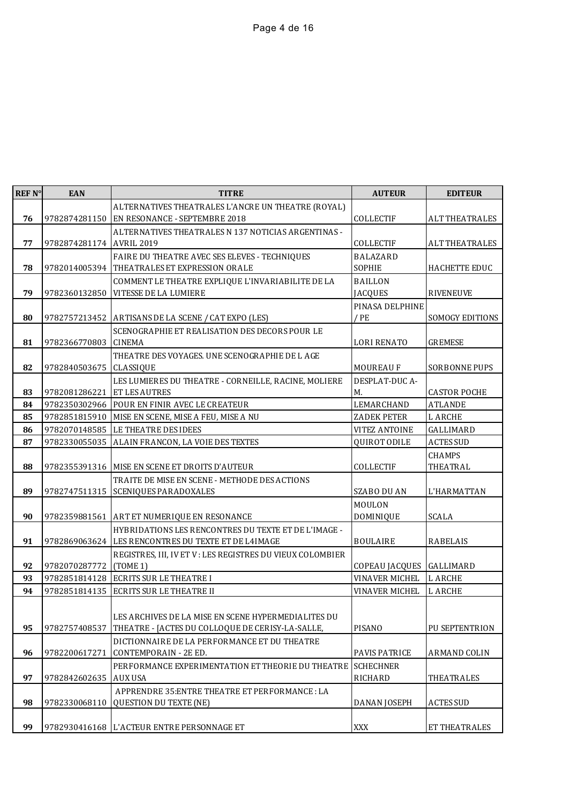| REF N° | <b>EAN</b>    | <b>TITRE</b>                                               | <b>AUTEUR</b>            | <b>EDITEUR</b>        |
|--------|---------------|------------------------------------------------------------|--------------------------|-----------------------|
|        |               | ALTERNATIVES THEATRALES L'ANCRE UN THEATRE (ROYAL)         |                          |                       |
| 76     | 9782874281150 | EN RESONANCE - SEPTEMBRE 2018                              | COLLECTIF                | <b>ALT THEATRALES</b> |
|        |               | ALTERNATIVES THEATRALES N 137 NOTICIAS ARGENTINAS -        |                          |                       |
| 77     | 9782874281174 | <b>AVRIL 2019</b>                                          | COLLECTIF                | <b>ALT THEATRALES</b> |
|        |               | FAIRE DU THEATRE AVEC SES ELEVES - TECHNIQUES              | <b>BALAZARD</b>          |                       |
| 78     | 9782014005394 | THEATRALES ET EXPRESSION ORALE                             | SOPHIE                   | HACHETTE EDUC         |
|        |               | COMMENT LE THEATRE EXPLIQUE L'INVARIABILITE DE LA          | <b>BAILLON</b>           |                       |
| 79     | 9782360132850 | VITESSE DE LA LUMIERE                                      | <b>JACQUES</b>           | <b>RIVENEUVE</b>      |
|        |               |                                                            | PINASA DELPHINE          |                       |
| 80     |               | 9782757213452 ARTISANS DE LA SCENE / CAT EXPO (LES)        | / PE                     | SOMOGY EDITIONS       |
|        |               | SCENOGRAPHIE ET REALISATION DES DECORS POUR LE             |                          |                       |
| 81     | 9782366770803 | <b>CINEMA</b>                                              | <b>LORI RENATO</b>       | <b>GREMESE</b>        |
|        |               | THEATRE DES VOYAGES. UNE SCENOGRAPHIE DE LAGE              |                          |                       |
| 82     | 9782840503675 | CLASSIQUE                                                  | <b>MOUREAU F</b>         | SORBONNE PUPS         |
|        |               | LES LUMIERES DU THEATRE - CORNEILLE, RACINE, MOLIERE       | DESPLAT-DUC A-           |                       |
| 83     | 9782081286221 | ET LES AUTRES                                              | М.                       | <b>CASTOR POCHE</b>   |
| 84     | 9782350302966 | POUR EN FINIR AVEC LE CREATEUR                             | LEMARCHAND               | <b>ATLANDE</b>        |
| 85     | 9782851815910 | MISE EN SCENE, MISE A FEU, MISE A NU                       | <b>ZADEK PETER</b>       | L ARCHE               |
| 86     | 9782070148585 | LE THEATRE DES IDEES                                       | <b>VITEZ ANTOINE</b>     | GALLIMARD             |
| 87     | 9782330055035 | ALAIN FRANCON, LA VOIE DES TEXTES                          | QUIROT ODILE             | <b>ACTES SUD</b>      |
|        |               |                                                            |                          | <b>CHAMPS</b>         |
| 88     | 9782355391316 | MISE EN SCENE ET DROITS D'AUTEUR                           | COLLECTIF                | THEATRAL              |
|        |               | TRAITE DE MISE EN SCENE - METHODE DES ACTIONS              |                          |                       |
| 89     | 9782747511315 | SCENIQUES PARADOXALES                                      | <b>SZABO DU AN</b>       | L'HARMATTAN           |
|        |               |                                                            | MOULON                   |                       |
| 90     | 9782359881561 | ART ET NUMERIQUE EN RESONANCE                              | DOMINIQUE                | <b>SCALA</b>          |
|        |               | HYBRIDATIONS LES RENCONTRES DU TEXTE ET DE L'IMAGE -       |                          |                       |
| 91     | 9782869063624 | LES RENCONTRES DU TEXTE ET DE L4IMAGE                      | <b>BOULAIRE</b>          | RABELAIS              |
|        |               | REGISTRES, III, IV ET V : LES REGISTRES DU VIEUX COLOMBIER |                          |                       |
| 92     | 9782070287772 | (TOME 1)                                                   | COPEAU JACQUES GALLIMARD |                       |
| 93     | 9782851814128 | <b>ECRITS SUR LE THEATRE I</b>                             | VINAVER MICHEL           | <b>LARCHE</b>         |
| 94     | 9782851814135 | ECRITS SUR LE THEATRE II                                   | VINAVER MICHEL           | <b>LARCHE</b>         |
|        |               |                                                            |                          |                       |
|        |               | LES ARCHIVES DE LA MISE EN SCENE HYPERMEDIALITES DU        |                          |                       |
| 95     | 9782757408537 | THEATRE - [ACTES DU COLLOQUE DE CERISY-LA-SALLE,           | PISANO                   | <b>PU SEPTENTRION</b> |
|        |               | DICTIONNAIRE DE LA PERFORMANCE ET DU THEATRE               |                          |                       |
| 96     | 9782200617271 | CONTEMPORAIN - 2E ED.                                      | <b>PAVIS PATRICE</b>     | <b>ARMAND COLIN</b>   |
|        |               | PERFORMANCE EXPERIMENTATION ET THEORIE DU THEATRE          | <b>SCHECHNER</b>         |                       |
| 97     | 9782842602635 | AUX USA                                                    | RICHARD                  | THEATRALES            |
|        |               | APPRENDRE 35: ENTRE THEATRE ET PERFORMANCE: LA             |                          |                       |
| 98     | 9782330068110 | <b>QUESTION DU TEXTE (NE)</b>                              | DANAN JOSEPH             | <b>ACTES SUD</b>      |
|        |               |                                                            |                          |                       |
| 99     |               | 9782930416168 L'ACTEUR ENTRE PERSONNAGE ET                 | XXX                      | ET THEATRALES         |
|        |               |                                                            |                          |                       |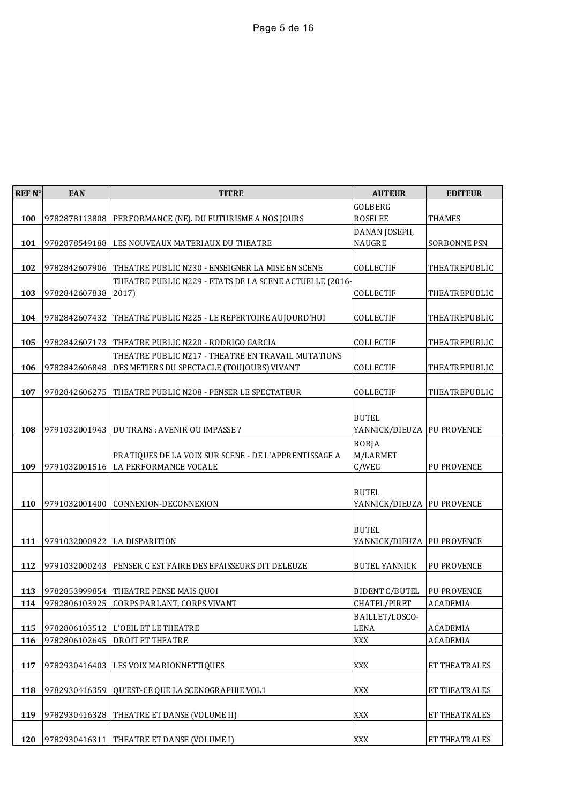| REF <sub>N°</sub> | <b>EAN</b>    | <b>TITRE</b>                                                  | <b>AUTEUR</b>                | <b>EDITEUR</b>      |
|-------------------|---------------|---------------------------------------------------------------|------------------------------|---------------------|
|                   |               |                                                               | GOLBERG                      |                     |
| 100               |               | 9782878113808 PERFORMANCE (NE). DU FUTURISME A NOS JOURS      | <b>ROSELEE</b>               | <b>THAMES</b>       |
|                   |               |                                                               | DANAN JOSEPH,                |                     |
| 101               | 9782878549188 | LES NOUVEAUX MATERIAUX DU THEATRE                             | <b>NAUGRE</b>                | <b>SORBONNE PSN</b> |
|                   |               |                                                               |                              |                     |
| 102               | 9782842607906 | THEATRE PUBLIC N230 - ENSEIGNER LA MISE EN SCENE              | COLLECTIF                    | THEATREPUBLIC       |
|                   |               | THEATRE PUBLIC N229 - ETATS DE LA SCENE ACTUELLE (2016-       |                              |                     |
| 103               | 9782842607838 | 2017)                                                         | COLLECTIF                    | THEATREPUBLIC       |
|                   |               |                                                               |                              |                     |
| 104               |               | 9782842607432 THEATRE PUBLIC N225 - LE REPERTOIRE AUJOURD'HUI | <b>COLLECTIF</b>             | THEATREPUBLIC       |
|                   |               |                                                               |                              |                     |
| 105               | 9782842607173 | THEATRE PUBLIC N220 - RODRIGO GARCIA                          | COLLECTIF                    | THEATREPUBLIC       |
|                   |               | THEATRE PUBLIC N217 - THEATRE EN TRAVAIL MUTATIONS            |                              |                     |
| 106               | 9782842606848 | DES METIERS DU SPECTACLE (TOUJOURS) VIVANT                    | COLLECTIF                    | THEATREPUBLIC       |
|                   |               |                                                               |                              |                     |
| 107               | 9782842606275 | THEATRE PUBLIC N208 - PENSER LE SPECTATEUR                    | COLLECTIF                    | THEATREPUBLIC       |
|                   |               |                                                               |                              |                     |
|                   |               |                                                               | <b>BUTEL</b>                 |                     |
| 108               | 9791032001943 | DU TRANS : AVENIR OU IMPASSE ?                                | YANNICK/DIEUZA   PU PROVENCE |                     |
|                   |               |                                                               | <b>BORJA</b>                 |                     |
|                   |               | PRATIQUES DE LA VOIX SUR SCENE - DE L'APPRENTISSAGE A         | M/LARMET                     |                     |
| 109               | 9791032001516 | LA PERFORMANCE VOCALE                                         | C/WEG                        | PU PROVENCE         |
|                   |               |                                                               |                              |                     |
|                   |               |                                                               | <b>BUTEL</b>                 |                     |
| 110               | 9791032001400 | CONNEXION-DECONNEXION                                         | YANNICK/DIEUZA   PU PROVENCE |                     |
|                   |               |                                                               |                              |                     |
|                   |               |                                                               | <b>BUTEL</b>                 |                     |
| 111               | 9791032000922 | <b>LA DISPARITION</b>                                         | YANNICK/DIEUZA   PU PROVENCE |                     |
| 112               | 9791032000243 | PENSER C EST FAIRE DES EPAISSEURS DIT DELEUZE                 | <b>BUTEL YANNICK</b>         | PU PROVENCE         |
|                   |               |                                                               |                              |                     |
| 113               | 9782853999854 | THEATRE PENSE MAIS QUOI                                       | <b>BIDENT C/BUTEL</b>        | <b>PU PROVENCE</b>  |
| 114               | 9782806103925 | CORPS PARLANT, CORPS VIVANT                                   | CHATEL/PIRET                 | <b>ACADEMIA</b>     |
|                   |               |                                                               | BAILLET/LOSCO-               |                     |
| 115               | 9782806103512 | L'OEIL ET LE THEATRE                                          | <b>LENA</b>                  | <b>ACADEMIA</b>     |
| 116               | 9782806102645 | DROIT ET THEATRE                                              | XXX                          | <b>ACADEMIA</b>     |
|                   |               |                                                               |                              |                     |
| 117               | 9782930416403 | LES VOIX MARIONNETTIQUES                                      | XXX                          | ET THEATRALES       |
|                   |               |                                                               |                              |                     |
| 118               | 9782930416359 | QU'EST-CE QUE LA SCENOGRAPHIE VOL1                            | XXX                          | ET THEATRALES       |
|                   |               |                                                               |                              |                     |
| 119               | 9782930416328 | THEATRE ET DANSE (VOLUME II)                                  | XXX                          | ET THEATRALES       |
|                   |               |                                                               |                              |                     |
| 120               | 9782930416311 | THEATRE ET DANSE (VOLUME I)                                   | XXX                          | ET THEATRALES       |
|                   |               |                                                               |                              |                     |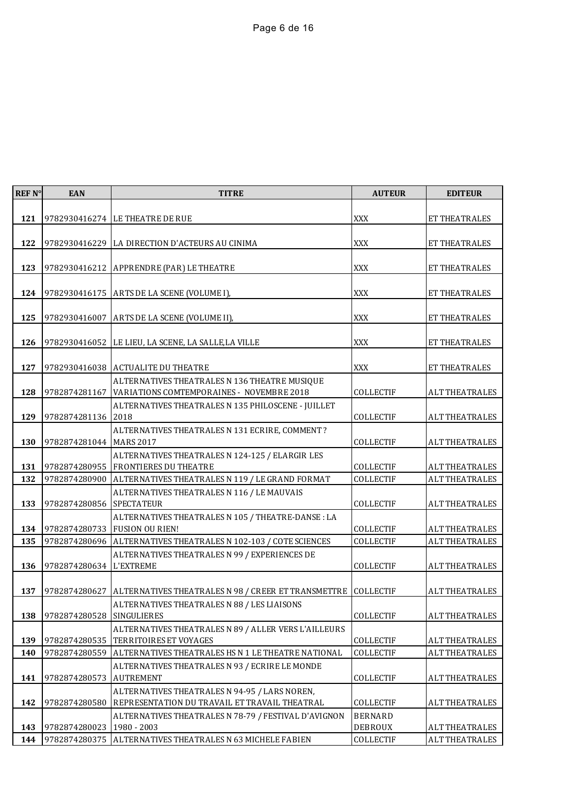| REF <sub>N°</sub> | <b>EAN</b>                  | <b>TITRE</b>                                                       | <b>AUTEUR</b>    | <b>EDITEUR</b>        |
|-------------------|-----------------------------|--------------------------------------------------------------------|------------------|-----------------------|
|                   |                             |                                                                    |                  |                       |
| 121               |                             | 9782930416274 LE THEATRE DE RUE                                    | XXX              | <b>ET THEATRALES</b>  |
| 122               |                             | 9782930416229 LA DIRECTION D'ACTEURS AU CINIMA                     | <b>XXX</b>       | ET THEATRALES         |
|                   |                             |                                                                    |                  |                       |
| 123               |                             | 9782930416212 APPRENDRE (PAR) LE THEATRE                           | XXX              | ET THEATRALES         |
|                   |                             |                                                                    |                  |                       |
| 124               |                             | 9782930416175 ARTS DE LA SCENE (VOLUME I),                         | <b>XXX</b>       | ET THEATRALES         |
| 125               |                             |                                                                    | <b>XXX</b>       |                       |
|                   | 9782930416007               | ARTS DE LA SCENE (VOLUME II),                                      |                  | ET THEATRALES         |
| 126               |                             | 9782930416052 LE LIEU, LA SCENE, LA SALLE, LA VILLE                | XXX              | ET THEATRALES         |
|                   |                             |                                                                    |                  |                       |
| 127               |                             | 9782930416038 ACTUALITE DU THEATRE                                 | <b>XXX</b>       | ET THEATRALES         |
|                   |                             | ALTERNATIVES THEATRALES N 136 THEATRE MUSIQUE                      |                  |                       |
| 128               | 9782874281167               | VARIATIONS COMTEMPORAINES - NOVEMBRE 2018                          | <b>COLLECTIF</b> | <b>ALT THEATRALES</b> |
| 129               | 9782874281136 2018          | ALTERNATIVES THEATRALES N 135 PHILOSCENE - JUILLET                 | COLLECTIF        | <b>ALT THEATRALES</b> |
|                   |                             | ALTERNATIVES THEATRALES N 131 ECRIRE, COMMENT ?                    |                  |                       |
| 130               | 9782874281044 MARS 2017     |                                                                    | COLLECTIF        | <b>ALT THEATRALES</b> |
|                   |                             | ALTERNATIVES THEATRALES N 124-125 / ELARGIR LES                    |                  |                       |
| 131               |                             | 9782874280955 FRONTIERES DU THEATRE                                | <b>COLLECTIF</b> | <b>ALT THEATRALES</b> |
| 132               | 9782874280900               | ALTERNATIVES THEATRALES N 119 / LE GRAND FORMAT                    | COLLECTIF        | <b>ALT THEATRALES</b> |
| 133               | 9782874280856 SPECTATEUR    | ALTERNATIVES THEATRALES N 116 / LE MAUVAIS                         | COLLECTIF        | <b>ALT THEATRALES</b> |
|                   |                             | ALTERNATIVES THEATRALES N 105 / THEATRE-DANSE : LA                 |                  |                       |
| 134               |                             | 9782874280733 FUSION OU RIEN!                                      | COLLECTIF        | <b>ALT THEATRALES</b> |
| 135               |                             | 9782874280696   ALTERNATIVES THEATRALES N 102-103 / COTE SCIENCES  | COLLECTIF        | <b>ALT THEATRALES</b> |
|                   |                             | ALTERNATIVES THEATRALES N 99 / EXPERIENCES DE                      |                  |                       |
| 136               | 9782874280634 L'EXTREME     |                                                                    | COLLECTIF        | <b>ALT THEATRALES</b> |
| 137               | 9782874280627               | ALTERNATIVES THEATRALES N 98 / CREER ET TRANSMETTRE                | <b>COLLECTIF</b> | <b>ALT THEATRALES</b> |
|                   |                             | ALTERNATIVES THEATRALES N 88 / LES LIAISONS                        |                  |                       |
| 138               | 9782874280528 SINGULIERES   |                                                                    | COLLECTIF        | <b>ALT THEATRALES</b> |
|                   |                             | ALTERNATIVES THEATRALES N 89 / ALLER VERS L'AILLEURS               |                  |                       |
| 139               | 9782874280535               | TERRITOIRES ET VOYAGES                                             | COLLECTIF        | <b>ALT THEATRALES</b> |
| 140               | 9782874280559               | ALTERNATIVES THEATRALES HS N 1 LE THEATRE NATIONAL                 | COLLECTIF        | <b>ALT THEATRALES</b> |
| 141               | 9782874280573               | ALTERNATIVES THEATRALES N 93 / ECRIRE LE MONDE<br><b>AUTREMENT</b> | COLLECTIF        | <b>ALT THEATRALES</b> |
|                   |                             | ALTERNATIVES THEATRALES N 94-95 / LARS NOREN,                      |                  |                       |
| 142               |                             | 9782874280580 REPRESENTATION DU TRAVAIL ET TRAVAIL THEATRAL        | COLLECTIF        | <b>ALT THEATRALES</b> |
|                   |                             | ALTERNATIVES THEATRALES N 78-79 / FESTIVAL D'AVIGNON               | <b>BERNARD</b>   |                       |
| 143               | 9782874280023   1980 - 2003 |                                                                    | DEBROUX          | <b>ALT THEATRALES</b> |
| 144               |                             | 9782874280375 ALTERNATIVES THEATRALES N 63 MICHELE FABIEN          | COLLECTIF        | <b>ALT THEATRALES</b> |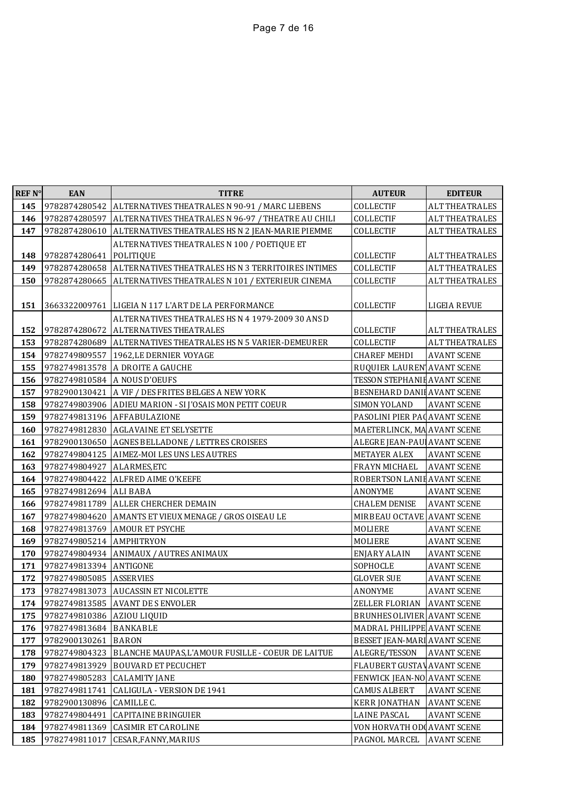| REF N° | <b>EAN</b>                 | <b>TITRE</b>                                                     | <b>AUTEUR</b>                      | <b>EDITEUR</b>        |
|--------|----------------------------|------------------------------------------------------------------|------------------------------------|-----------------------|
| 145    | 9782874280542              | ALTERNATIVES THEATRALES N 90-91 / MARC LIEBENS                   | COLLECTIF                          | <b>ALT THEATRALES</b> |
| 146    | 9782874280597              | ALTERNATIVES THEATRALES N 96-97 / THEATRE AU CHILI               | COLLECTIF                          | <b>ALT THEATRALES</b> |
| 147    | 9782874280610              | ALTERNATIVES THEATRALES HS N 2 JEAN-MARIE PIEMME                 | COLLECTIF                          | <b>ALT THEATRALES</b> |
|        |                            | ALTERNATIVES THEATRALES N 100 / POETIQUE ET                      |                                    |                       |
| 148    | 9782874280641 POLITIQUE    |                                                                  | COLLECTIF                          | <b>ALT THEATRALES</b> |
| 149    |                            | 9782874280658 ALTERNATIVES THEATRALES HS N 3 TERRITOIRES INTIMES | COLLECTIF                          | <b>ALT THEATRALES</b> |
| 150    |                            | 9782874280665 ALTERNATIVES THEATRALES N 101 / EXTERIEUR CINEMA   | COLLECTIF                          | <b>ALT THEATRALES</b> |
|        |                            |                                                                  |                                    |                       |
| 151    |                            | 3663322009761 LIGEIA N 117 L'ART DE LA PERFORMANCE               | COLLECTIF                          | LIGEIA REVUE          |
|        |                            | ALTERNATIVES THEATRALES HS N 4 1979-2009 30 ANS D                |                                    |                       |
| 152    |                            | 9782874280672 ALTERNATIVES THEATRALES                            | COLLECTIF                          | <b>ALT THEATRALES</b> |
| 153    | 9782749809557              | 9782874280689 ALTERNATIVES THEATRALES HS N 5 VARIER-DEMEURER     | COLLECTIF                          | <b>ALT THEATRALES</b> |
| 154    |                            | 1962, LE DERNIER VOYAGE                                          | <b>CHAREF MEHDI</b>                | <b>AVANT SCENE</b>    |
| 155    |                            | 9782749813578 A DROITE A GAUCHE                                  | RUQUIER LAUREN AVANT SCENE         |                       |
| 156    |                            | 9782749810584 A NOUS D'OEUFS                                     | TESSON STEPHANIE AVANT SCENE       |                       |
| 157    |                            | 9782900130421 A VIF / DES FRITES BELGES A NEW YORK               | BESNEHARD DANII AVANT SCENE        |                       |
| 158    |                            | 9782749803906 ADIEU MARION - SI J'OSAIS MON PETIT COEUR          | SIMON YOLAND                       | <b>AVANT SCENE</b>    |
| 159    |                            | 9782749813196 AFFABULAZIONE                                      | PASOLINI PIER PACAVANT SCENE       |                       |
| 160    | 9782749812830              | <b>AGLAVAINE ET SELYSETTE</b>                                    | MAETERLINCK, MA AVANT SCENE        |                       |
| 161    | 9782900130650              | AGNES BELLADONE / LETTRES CROISEES                               | ALEGRE JEAN-PAU AVANT SCENE        |                       |
| 162    | 9782749804125              | AIMEZ-MOI LES UNS LES AUTRES                                     | METAYER ALEX                       | <b>AVANT SCENE</b>    |
| 163    | 9782749804927              | ALARMES, ETC                                                     | FRAYN MICHAEL                      | <b>AVANT SCENE</b>    |
| 164    | 9782749804422              | <b>ALFRED AIME O'KEEFE</b>                                       | ROBERTSON LANII AVANT SCENE        |                       |
| 165    | 9782749812694 ALI BABA     |                                                                  | <b>ANONYME</b>                     | <b>AVANT SCENE</b>    |
| 166    | 9782749811789              | <b>ALLER CHERCHER DEMAIN</b>                                     | <b>CHALEM DENISE</b>               | <b>AVANT SCENE</b>    |
| 167    | 9782749804620              | AMANTS ET VIEUX MENAGE / GROS OISEAU LE                          | MIRBEAU OCTAVE AVANT SCENE         |                       |
| 168    | 9782749813769              | <b>AMOUR ET PSYCHE</b>                                           | MOLIERE                            | <b>AVANT SCENE</b>    |
| 169    | 9782749805214 AMPHITRYON   |                                                                  | MOLIERE                            | <b>AVANT SCENE</b>    |
| 170    |                            | 9782749804934 ANIMAUX / AUTRES ANIMAUX                           | <b>ENJARY ALAIN</b>                | <b>AVANT SCENE</b>    |
| 171    | 9782749813394 ANTIGONE     |                                                                  | SOPHOCLE                           | <b>AVANT SCENE</b>    |
| 172    | 9782749805085              | <b>ASSERVIES</b>                                                 | <b>GLOVER SUE</b>                  | <b>AVANT SCENE</b>    |
| 173    | 9782749813073              | <b>AUCASSIN ET NICOLETTE</b>                                     | ANONYME                            | <b>AVANT SCENE</b>    |
| 174    |                            | 9782749813585 AVANT DE S ENVOLER                                 | ZELLER FLORIAN                     | <b>AVANT SCENE</b>    |
| 175    | 9782749810386 AZIOU LIQUID |                                                                  | <b>BRUNHES OLIVIER AVANT SCENE</b> |                       |
| 176    | 9782749813684              | <b>BANKABLE</b>                                                  | MADRAL PHILIPPE AVANT SCENE        |                       |
| 177    | 9782900130261              | <b>BARON</b>                                                     | BESSET JEAN-MARI AVANT SCENE       |                       |
| 178    | 9782749804323              | BLANCHE MAUPAS, L'AMOUR FUSILLE - COEUR DE LAITUE                | ALEGRE/TESSON                      | <b>AVANT SCENE</b>    |
| 179    | 9782749813929              | <b>BOUVARD ET PECUCHET</b>                                       | FLAUBERT GUSTAV AVANT SCENE        |                       |
| 180    | 9782749805283              | <b>CALAMITY JANE</b>                                             | FENWICK JEAN-NO AVANT SCENE        |                       |
| 181    | 9782749811741              | CALIGULA - VERSION DE 1941                                       | <b>CAMUS ALBERT</b>                | <b>AVANT SCENE</b>    |
| 182    | 9782900130896              | CAMILLE C.                                                       | <b>KERR JONATHAN</b>               | <b>AVANT SCENE</b>    |
| 183    | 9782749804491              | <b>CAPITAINE BRINGUIER</b>                                       | <b>LAINE PASCAL</b>                | <b>AVANT SCENE</b>    |
| 184    | 9782749811369              | <b>CASIMIR ET CAROLINE</b>                                       | VON HORVATH ODI AVANT SCENE        |                       |
| 185    | 9782749811017              | CESAR, FANNY, MARIUS                                             | PAGNOL MARCEL                      | <b>AVANT SCENE</b>    |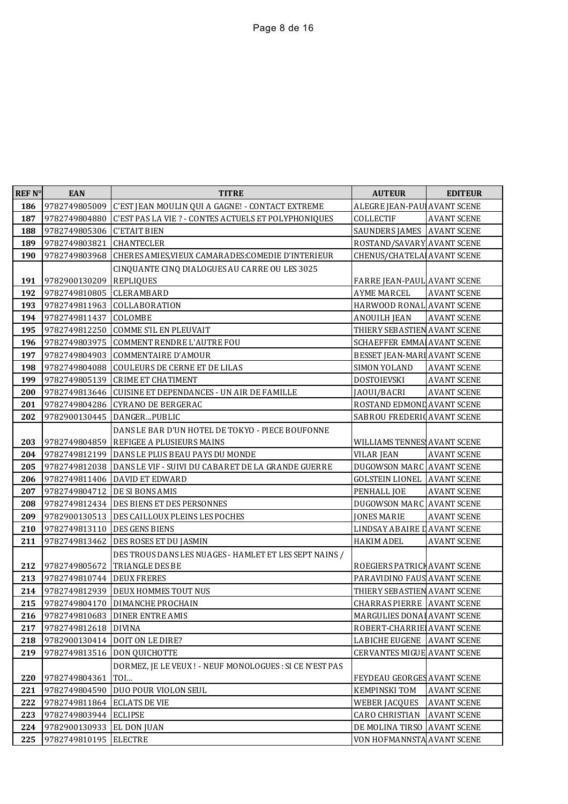| <b>REF N°</b> | <b>EAN</b>                     | <b>TITRE</b>                                                                  | <b>AUTEUR</b>                     | <b>EDITEUR</b>     |
|---------------|--------------------------------|-------------------------------------------------------------------------------|-----------------------------------|--------------------|
| 186           | 9782749805009                  | C'EST JEAN MOULIN QUI A GAGNE! - CONTACT EXTREME                              | ALEGRE JEAN-PAU AVANT SCENE       |                    |
| 187           | 9782749804880                  | C'EST PAS LA VIE ? - CONTES ACTUELS ET POLYPHONIQUES                          | COLLECTIF                         | <b>AVANT SCENE</b> |
| 188           | 9782749805306                  | <b>C'ETAIT BIEN</b>                                                           | SAUNDERS JAMES AVANT SCENE        |                    |
| 189           | 9782749803821                  | <b>CHANTECLER</b>                                                             | ROSTAND/SAVARY AVANT SCENE        |                    |
| 190           | 9782749803968                  | CHERES AMIES, VIEUX CAMARADES: COMEDIE D'INTERIEUR                            | CHENUS/CHATELA                    | <b>AVANT SCENE</b> |
|               |                                | CINQUANTE CINQ DIALOGUES AU CARRE OU LES 3025                                 |                                   |                    |
| 191           | 9782900130209                  | <b>REPLIQUES</b>                                                              | FARRE JEAN-PAUL AVANT SCENE       |                    |
| 192           | 9782749810805                  | CLERAMBARD                                                                    | <b>AYME MARCEL</b>                | <b>AVANT SCENE</b> |
| 193           |                                | 9782749811963 COLLABORATION                                                   | HARWOOD RONAL AVANT SCENE         |                    |
| 194           | 9782749811437                  | COLOMBE                                                                       | <b>ANOUILH JEAN</b>               | <b>AVANT SCENE</b> |
| 195           | 9782749812250                  | COMME S'IL EN PLEUVAIT                                                        | THIERY SEBASTIEN AVANT SCENE      |                    |
| 196           | 9782749803975                  | <b>COMMENT RENDRE L'AUTRE FOU</b>                                             | SCHAEFFER EMMA AVANT SCENE        |                    |
| 197           | 9782749804903                  | <b>COMMENTAIRE D'AMOUR</b>                                                    | BESSET JEAN-MARI AVANT SCENE      |                    |
| 198           | 9782749804088                  | <b>COULEURS DE CERNE ET DE LILAS</b>                                          | SIMON YOLAND                      | <b>AVANT SCENE</b> |
| 199           | 9782749805139                  | <b>CRIME ET CHATIMENT</b>                                                     | DOSTOIEVSKI                       | <b>AVANT SCENE</b> |
| 200           | 9782749813646                  | <b>CUISINE ET DEPENDANCES - UN AIR DE FAMILLE</b>                             | JAOUI/BACRI                       | <b>AVANT SCENE</b> |
| 201           | 9782749804286                  | <b>CYRANO DE BERGERAC</b>                                                     | ROSTAND EDMOND AVANT SCENE        |                    |
| 202           |                                | 9782900130445   DANGERPUBLIC                                                  | SABROU FREDERIC AVANT SCENE       |                    |
| 203           | 9782749804859                  | DANS LE BAR D'UN HOTEL DE TOKYO - PIECE BOUFONNE<br>REFIGEE A PLUSIEURS MAINS | WILLIAMS TENNES AVANT SCENE       |                    |
| 204           |                                | 9782749812199   DANS LE PLUS BEAU PAYS DU MONDE                               | <b>VILAR JEAN</b>                 | <b>AVANT SCENE</b> |
| 205           | 9782749812038                  | DANS LE VIF - SUIVI DU CABARET DE LA GRANDE GUERRE                            | DUGOWSON MARC AVANT SCENE         |                    |
| 206           | 9782749811406                  | DAVID ET EDWARD                                                               | <b>GOLSTEIN LIONEL</b>            | <b>AVANT SCENE</b> |
| 207           | 9782749804712                  | <b>DE SI BONS AMIS</b>                                                        | PENHALL JOE                       | <b>AVANT SCENE</b> |
| 208           | 9782749812434                  | DES BIENS ET DES PERSONNES                                                    | DUGOWSON MARC AVANT SCENE         |                    |
| 209           | 9782900130513                  | DES CAILLOUX PLEINS LES POCHES                                                | <b>JONES MARIE</b>                | <b>AVANT SCENE</b> |
| 210           | 9782749813110   DES GENS BIENS |                                                                               | LINDSAY ABAIRE I AVANT SCENE      |                    |
| 211           | 9782749813462                  | DES ROSES ET DU JASMIN                                                        | <b>HAKIM ADEL</b>                 | <b>AVANT SCENE</b> |
|               |                                | DES TROUS DANS LES NUAGES - HAMLET ET LES SEPT NAINS /                        |                                   |                    |
| 212           | 9782749805672                  | TRIANGLE DES BE                                                               | ROEGIERS PATRICH AVANT SCENE      |                    |
| 213           | 9782749810744                  | <b>DEUX FRERES</b>                                                            | PARAVIDINO FAUS AVANT SCENE       |                    |
| 214           |                                | 9782749812939   DEUX HOMMES TOUT NUS                                          | THIERY SEBASTIEN AVANT SCENE      |                    |
| 215           |                                | 9782749804170   DIMANCHE PROCHAIN                                             | <b>CHARRAS PIERRE AVANT SCENE</b> |                    |
|               |                                | 216 9782749810683 DINER ENTRE AMIS                                            | MARGULIES DONAL AVANT SCENE       |                    |
| 217           | 9782749812618                  | <b>DIVINA</b>                                                                 | ROBERT-CHARRIE AVANT SCENE        |                    |
| 218           | 9782900130414                  | DOIT ON LE DIRE?                                                              | LABICHE EUGENE                    | <b>AVANT SCENE</b> |
| 219           |                                | 9782749813516   DON QUICHOTTE                                                 | CERVANTES MIGUE AVANT SCENE       |                    |
| 220           | 9782749804361                  | DORMEZ, JE LE VEUX ! - NEUF MONOLOGUES : SI CE N'EST PAS<br>TOI               | FEYDEAU GEORGES AVANT SCENE       |                    |
| 221           | 9782749804590                  | DUO POUR VIOLON SEUL                                                          | <b>KEMPINSKI TOM</b>              | <b>AVANT SCENE</b> |
| 222           | 9782749811864                  | <b>ECLATS DE VIE</b>                                                          | <b>WEBER JACQUES</b>              | <b>AVANT SCENE</b> |
| 223           | 9782749803944                  | <b>ECLIPSE</b>                                                                | CARO CHRISTIAN                    | <b>AVANT SCENE</b> |
| 224           | 9782900130933                  | EL DON JUAN                                                                   | DE MOLINA TIRSO                   | <b>AVANT SCENE</b> |
| 225           | 9782749810195                  | <b>ELECTRE</b>                                                                | VON HOFMANNSTA                    | <b>AVANT SCENE</b> |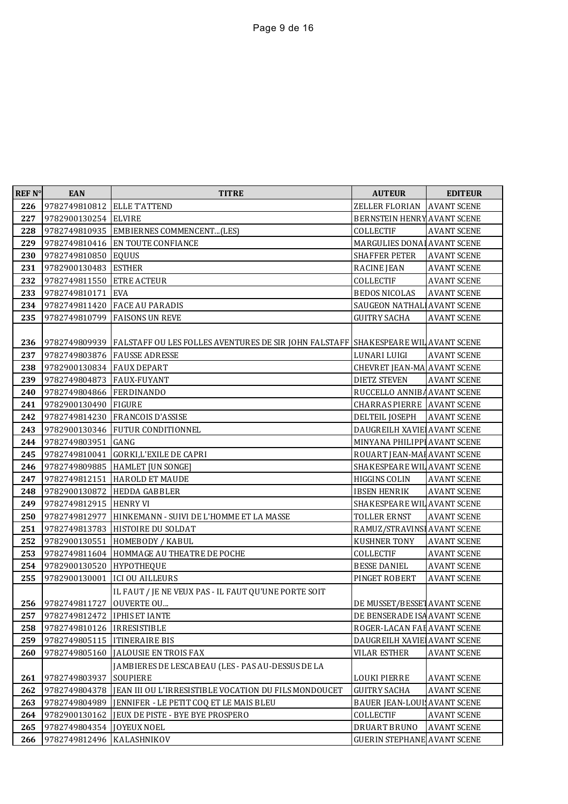| <b>REF N°</b> | <b>EAN</b>                   | <b>TITRE</b>                                                                      | <b>AUTEUR</b>                      | <b>EDITEUR</b>     |
|---------------|------------------------------|-----------------------------------------------------------------------------------|------------------------------------|--------------------|
| 226           | 9782749810812                | <b>ELLE T'ATTEND</b>                                                              | ZELLER FLORIAN                     | <b>AVANT SCENE</b> |
| 227           | 9782900130254 ELVIRE         |                                                                                   | BERNSTEIN HENRY AVANT SCENE        |                    |
| 228           | 9782749810935                | EMBIERNES COMMENCENT(LES)                                                         | COLLECTIF                          | <b>AVANT SCENE</b> |
| 229           | 9782749810416                | EN TOUTE CONFIANCE                                                                | MARGULIES DONAL AVANT SCENE        |                    |
| 230           | 9782749810850                | <b>EQUUS</b>                                                                      | SHAFFER PETER                      | <b>AVANT SCENE</b> |
| 231           | 9782900130483                | <b>ESTHER</b>                                                                     | RACINE JEAN                        | <b>AVANT SCENE</b> |
| 232           | 9782749811550                | <b>ETRE ACTEUR</b>                                                                | COLLECTIF                          | <b>AVANT SCENE</b> |
| 233           | 9782749810171                | <b>EVA</b>                                                                        | <b>BEDOS NICOLAS</b>               | <b>AVANT SCENE</b> |
| 234           | 9782749811420                | <b>FACE AU PARADIS</b>                                                            | SAUGEON NATHAL AVANT SCENE         |                    |
| 235           | 9782749810799                | <b>FAISONS UN REVE</b>                                                            | <b>GUITRY SACHA</b>                | <b>AVANT SCENE</b> |
|               |                              |                                                                                   |                                    |                    |
| 236           | 9782749809939                | FALSTAFF OU LES FOLLES AVENTURES DE SIR JOHN FALSTAFF SHAKESPEARE WIL AVANT SCENE |                                    |                    |
| 237           | 9782749803876                | <b>FAUSSE ADRESSE</b>                                                             | LUNARI LUIGI                       | <b>AVANT SCENE</b> |
| 238           | 9782900130834                | <b>FAUX DEPART</b>                                                                | CHEVRET JEAN-MA AVANT SCENE        |                    |
| 239           | 9782749804873                | <b>FAUX-FUYANT</b>                                                                | <b>DIETZ STEVEN</b>                | <b>AVANT SCENE</b> |
| 240           | 9782749804866                | <b>FERDINANDO</b>                                                                 | RUCCELLO ANNIBA AVANT SCENE        |                    |
| 241           | 9782900130490                | <b>FIGURE</b>                                                                     | <b>CHARRAS PIERRE AVANT SCENE</b>  |                    |
| 242           | 9782749814230                | <b>FRANCOIS D'ASSISE</b>                                                          | DELTEIL JOSEPH                     | <b>AVANT SCENE</b> |
| 243           | 9782900130346                | FUTUR CONDITIONNEL                                                                | DAUGREILH XAVIE AVANT SCENE        |                    |
| 244           | 9782749803951                | GANG                                                                              | MINYANA PHILIPPI AVANT SCENE       |                    |
| 245           | 9782749810041                | <b>GORKI,L'EXILE DE CAPRI</b>                                                     | ROUART JEAN-MAI AVANT SCENE        |                    |
| 246           | 9782749809885                | <b>HAMLET</b> [UN SONGE]                                                          | SHAKESPEARE WIL AVANT SCENE        |                    |
| 247           | 9782749812151                | <b>HAROLD ET MAUDE</b>                                                            | HIGGINS COLIN                      | <b>AVANT SCENE</b> |
| 248           | 9782900130872                | <b>HEDDA GABBLER</b>                                                              | <b>IBSEN HENRIK</b>                | <b>AVANT SCENE</b> |
| 249           | 9782749812915                | <b>HENRY VI</b>                                                                   | SHAKESPEARE WIL AVANT SCENE        |                    |
| 250           | 9782749812977                | HINKEMANN - SUIVI DE L'HOMME ET LA MASSE                                          | TOLLER ERNST                       | <b>AVANT SCENE</b> |
| 251           | 9782749813783                | HISTOIRE DU SOLDAT                                                                | RAMUZ/STRAVINSI AVANT SCENE        |                    |
| 252           | 9782900130551                | HOMEBODY / KABUL                                                                  | <b>KUSHNER TONY</b>                | <b>AVANT SCENE</b> |
| 253           | 9782749811604                | HOMMAGE AU THEATRE DE POCHE                                                       | COLLECTIF                          | <b>AVANT SCENE</b> |
| 254           | 9782900130520                | <b>HYPOTHEQUE</b>                                                                 | <b>BESSE DANIEL</b>                | <b>AVANT SCENE</b> |
| 255           | 9782900130001                | <b>ICI OU AILLEURS</b>                                                            | PINGET ROBERT                      | <b>AVANT SCENE</b> |
|               |                              | IL FAUT / JE NE VEUX PAS - IL FAUT QU'UNE PORTE SOIT                              |                                    |                    |
|               | 256 9782749811727 OUVERTE OU |                                                                                   | DE MUSSET/BESSET AVANT SCENE       |                    |
| 257           | 9782749812472                | <b>IPHIS ET IANTE</b>                                                             | DE BENSERADE ISA AVANT SCENE       |                    |
| 258           | 9782749810126                | <b>IRRESISTIBLE</b>                                                               | ROGER-LACAN FAI AVANT SCENE        |                    |
| 259           | 9782749805115                | <b>ITINERAIRE BIS</b>                                                             | DAUGREILH XAVIE AVANT SCENE        |                    |
| 260           | 9782749805160                | <b>JALOUSIE EN TROIS FAX</b>                                                      | <b>VILAR ESTHER</b>                | <b>AVANT SCENE</b> |
|               |                              | JAMBIERES DE LESCABEAU (LES - PAS AU-DESSUS DE LA                                 |                                    |                    |
| 261           | 9782749803937                | SOUPIERE                                                                          | <b>LOUKI PIERRE</b>                | <b>AVANT SCENE</b> |
| 262           | 9782749804378                | JEAN III OU L'IRRESISTIBLE VOCATION DU FILS MONDOUCET                             | <b>GUITRY SACHA</b>                | <b>AVANT SCENE</b> |
| 263           | 9782749804989                | JENNIFER - LE PETIT COQ ET LE MAIS BLEU                                           | <b>BAUER JEAN-LOUI AVANT SCENE</b> |                    |
| 264           | 9782900130162                | JEUX DE PISTE - BYE BYE PROSPERO                                                  | COLLECTIF                          | <b>AVANT SCENE</b> |
| 265           | 9782749804354                | <b>JOYEUX NOEL</b>                                                                | DRUART BRUNO                       | <b>AVANT SCENE</b> |
| 266           | 9782749812496                | KALASHNIKOV                                                                       | <b>GUERIN STEPHANE AVANT SCENE</b> |                    |
|               |                              |                                                                                   |                                    |                    |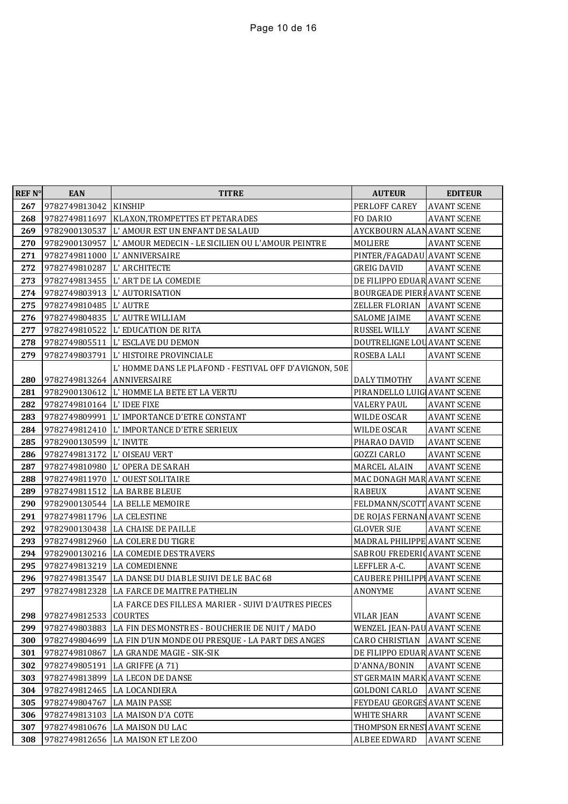| <b>REF N°</b> | <b>EAN</b>                     | <b>TITRE</b>                                                   | <b>AUTEUR</b>                       | <b>EDITEUR</b>     |
|---------------|--------------------------------|----------------------------------------------------------------|-------------------------------------|--------------------|
| 267           | 9782749813042 KINSHIP          |                                                                | PERLOFF CAREY                       | <b>AVANT SCENE</b> |
| 268           |                                | 9782749811697   KLAXON, TROMPETTES ET PETARADES                | FO DARIO                            | <b>AVANT SCENE</b> |
| 269           |                                | 9782900130537 L'AMOUR EST UN ENFANT DE SALAUD                  | AYCKBOURN ALAN AVANT SCENE          |                    |
| 270           |                                | 9782900130957 L'AMOUR MEDECIN - LE SICILIEN OU L'AMOUR PEINTRE | MOLIERE                             | <b>AVANT SCENE</b> |
| 271           |                                | 9782749811000 L'ANNIVERSAIRE                                   | PINTER/FAGADAU AVANT SCENE          |                    |
| 272           | 9782749810287 L'ARCHITECTE     |                                                                | <b>GREIG DAVID</b>                  | <b>AVANT SCENE</b> |
| 273           |                                | 9782749813455 L'ART DE LA COMEDIE                              | DE FILIPPO EDUAR AVANT SCENE        |                    |
| 274           |                                | 9782749803913 L'AUTORISATION                                   | <b>BOURGEADE PIERF AVANT SCENE</b>  |                    |
| 275           | 9782749810485 L'AUTRE          |                                                                | ZELLER FLORIAN AVANT SCENE          |                    |
| 276           |                                | 9782749804835 L'AUTRE WILLIAM                                  | <b>SALOME JAIME</b>                 | <b>AVANT SCENE</b> |
| 277           |                                | 9782749810522 L'EDUCATION DE RITA                              | RUSSEL WILLY                        | <b>AVANT SCENE</b> |
| 278           |                                | 9782749805511   L'ESCLAVE DU DEMON                             | DOUTRELIGNE LOU AVANT SCENE         |                    |
| 279           |                                | 9782749803791 L'HISTOIRE PROVINCIALE                           | ROSEBA LALI                         | <b>AVANT SCENE</b> |
|               |                                | L'HOMME DANS LE PLAFOND - FESTIVAL OFF D'AVIGNON, 50E          |                                     |                    |
| 280           | 9782749813264 ANNIVERSAIRE     |                                                                | DALY TIMOTHY                        | <b>AVANT SCENE</b> |
| 281           |                                | 9782900130612 L'HOMME LA BETE ET LA VERTU                      | PIRANDELLO LUIG AVANT SCENE         |                    |
| 282           | 9782749810164   L' IDEE FIXE   |                                                                | <b>VALERY PAUL</b>                  | <b>AVANT SCENE</b> |
| 283           |                                | 9782749809991 L'IMPORTANCE D'ETRE CONSTANT                     | <b>WILDE OSCAR</b>                  | <b>AVANT SCENE</b> |
| 284           |                                | 9782749812410 L'IMPORTANCE D'ETRE SERIEUX                      | WILDE OSCAR                         | <b>AVANT SCENE</b> |
| 285           | 9782900130599 L'INVITE         |                                                                | PHARAO DAVID                        | <b>AVANT SCENE</b> |
| 286           | 9782749813172   L' OISEAU VERT |                                                                | <b>GOZZI CARLO</b>                  | <b>AVANT SCENE</b> |
| 287           |                                | 9782749810980 L'OPERA DE SARAH                                 | MARCEL ALAIN                        | <b>AVANT SCENE</b> |
| 288           |                                | 9782749811970   L' OUEST SOLITAIRE                             | MAC DONAGH MAR AVANT SCENE          |                    |
| 289           |                                | 9782749811512 LA BARBE BLEUE                                   | RABEUX                              | <b>AVANT SCENE</b> |
| 290           |                                | 9782900130544 LA BELLE MEMOIRE                                 | FELDMANN/SCOTT AVANT SCENE          |                    |
| 291           | 9782749811796 LA CELESTINE     |                                                                | DE ROJAS FERNAN AVANT SCENE         |                    |
| 292           |                                | 9782900130438   LA CHAISE DE PAILLE                            | <b>GLOVER SUE</b>                   | <b>AVANT SCENE</b> |
| 293           |                                | 9782749812960 LA COLERE DU TIGRE                               | MADRAL PHILIPPE AVANT SCENE         |                    |
| 294           |                                | 9782900130216 LA COMEDIE DES TRAVERS                           | SABROU FREDERIC AVANT SCENE         |                    |
| 295           | 9782749813219 LA COMEDIENNE    |                                                                | LEFFLER A-C.                        | <b>AVANT SCENE</b> |
| 296           |                                | 9782749813547 LA DANSE DU DIABLE SUIVI DE LE BAC 68            | <b>CAUBERE PHILIPPI AVANT SCENE</b> |                    |
| 297           |                                | 9782749812328 LA FARCE DE MAITRE PATHELIN                      | <b>ANONYME</b>                      | <b>AVANT SCENE</b> |
|               |                                | LA FARCE DES FILLES A MARIER - SUIVI D'AUTRES PIECES           |                                     |                    |
| 298           | 9782749812533 COURTES          |                                                                | <b>VILAR JEAN</b>                   | <b>AVANT SCENE</b> |
| 299           | 9782749803883                  | LA FIN DES MONSTRES - BOUCHERIE DE NUIT / MADO                 | WENZEL JEAN-PAU AVANT SCENE         |                    |
| 300           | 9782749804699                  | LA FIN D'UN MONDE OU PRESQUE - LA PART DES ANGES               | CARO CHRISTIAN                      | <b>AVANT SCENE</b> |
| 301           | 9782749810867                  | LA GRANDE MAGIE - SIK-SIK                                      | DE FILIPPO EDUAR AVANT SCENE        |                    |
| 302           | 9782749805191                  | LA GRIFFE (A 71)                                               | D'ANNA/BONIN                        | <b>AVANT SCENE</b> |
| 303           | 9782749813899                  | LA LECON DE DANSE                                              | ST GERMAIN MARK AVANT SCENE         |                    |
| 304           | 9782749812465                  | LA LOCANDIERA                                                  | <b>GOLDONI CARLO</b>                | <b>AVANT SCENE</b> |
| 305           | 9782749804767                  | LA MAIN PASSE                                                  | FEYDEAU GEORGES AVANT SCENE         |                    |
| 306           |                                | 9782749813103   LA MAISON D'A COTE                             | WHITE SHARR                         | <b>AVANT SCENE</b> |
| 307           |                                | 9782749810676 LA MAISON DU LAC                                 | THOMPSON ERNES AVANT SCENE          |                    |
| 308           | 9782749812656                  | LA MAISON ET LE ZOO                                            | <b>ALBEE EDWARD</b>                 | <b>AVANT SCENE</b> |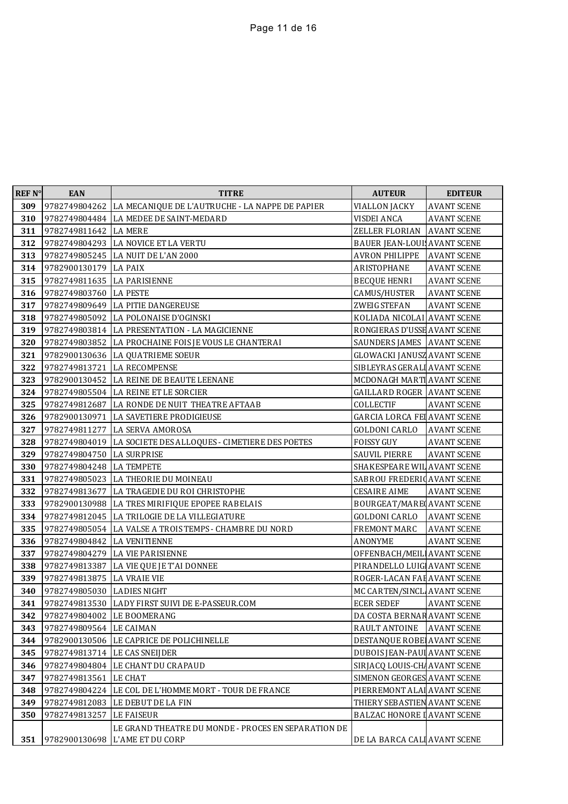| REF <sub>N°</sub> | <b>EAN</b>                     | <b>TITRE</b>                                                  | <b>AUTEUR</b>                       | <b>EDITEUR</b>     |
|-------------------|--------------------------------|---------------------------------------------------------------|-------------------------------------|--------------------|
| 309               |                                | 9782749804262 LA MECANIQUE DE L'AUTRUCHE - LA NAPPE DE PAPIER | <b>VIALLON JACKY</b>                | <b>AVANT SCENE</b> |
| 310               |                                | 9782749804484 LA MEDEE DE SAINT-MEDARD                        | VISDEI ANCA                         | <b>AVANT SCENE</b> |
| 311               | 9782749811642 LA MERE          |                                                               | ZELLER FLORIAN                      | <b>AVANT SCENE</b> |
| 312               |                                | 9782749804293 LA NOVICE ET LA VERTU                           | <b>BAUER JEAN-LOUI AVANT SCENE</b>  |                    |
| 313               |                                | 9782749805245 LA NUIT DE L'AN 2000                            | <b>AVRON PHILIPPE</b>               | <b>AVANT SCENE</b> |
| 314               | 9782900130179 LA PAIX          |                                                               | ARISTOPHANE                         | <b>AVANT SCENE</b> |
| 315               | 9782749811635 LA PARISIENNE    |                                                               | <b>BECQUE HENRI</b>                 | <b>AVANT SCENE</b> |
| 316               | 9782749803760 LA PESTE         |                                                               | CAMUS/HUSTER                        | <b>AVANT SCENE</b> |
| 317               |                                | 9782749809649 LA PITIE DANGEREUSE                             | ZWEIG STEFAN                        | <b>AVANT SCENE</b> |
| 318               |                                | 9782749805092 LA POLONAISE D'OGINSKI                          | KOLIADA NICOLAI AVANT SCENE         |                    |
| 319               |                                | 9782749803814   LA PRESENTATION - LA MAGICIENNE               | RONGIERAS D'USSE AVANT SCENE        |                    |
| 320               |                                | 9782749803852 LA PROCHAINE FOIS JE VOUS LE CHANTERAI          | SAUNDERS JAMES AVANT SCENE          |                    |
| 321               |                                | 9782900130636 LA QUATRIEME SOEUR                              | <b>GLOWACKI JANUSZ AVANT SCENE</b>  |                    |
| 322               | 9782749813721 LA RECOMPENSE    |                                                               | SIBLEYRAS GERALI AVANT SCENE        |                    |
| 323               |                                | 9782900130452 LA REINE DE BEAUTE LEENANE                      | MCDONAGH MARTI AVANT SCENE          |                    |
| 324               |                                | 9782749805504 LA REINE ET LE SORCIER                          | <b>GAILLARD ROGER AVANT SCENE</b>   |                    |
| 325               |                                | 9782749812687 LA RONDE DE NUIT THEATRE AFTAAB                 | COLLECTIF                           | <b>AVANT SCENE</b> |
| 326               |                                | 9782900130971 LA SAVETIERE PRODIGIEUSE                        | <b>GARCIA LORCA FEI AVANT SCENE</b> |                    |
| 327               |                                | 9782749811277 LA SERVA AMOROSA                                | <b>GOLDONI CARLO</b>                | <b>AVANT SCENE</b> |
| 328               |                                | 9782749804019 LA SOCIETE DES ALLOQUES - CIMETIERE DES POETES  | <b>FOISSY GUY</b>                   | <b>AVANT SCENE</b> |
| 329               | 9782749804750 LA SURPRISE      |                                                               | SAUVIL PIERRE                       | <b>AVANT SCENE</b> |
| 330               | 9782749804248 LA TEMPETE       |                                                               | SHAKESPEARE WIL AVANT SCENE         |                    |
| 331               |                                | 9782749805023 LA THEORIE DU MOINEAU                           | SABROU FREDERIC AVANT SCENE         |                    |
| 332               |                                | 9782749813677 LA TRAGEDIE DU ROI CHRISTOPHE                   | <b>CESAIRE AIME</b>                 | <b>AVANT SCENE</b> |
| 333               |                                | 9782900130988 LA TRES MIRIFIQUE EPOPEE RABELAIS               | <b>BOURGEAT/MARE AVANT SCENE</b>    |                    |
| 334               |                                | 9782749812045 LA TRILOGIE DE LA VILLEGIATURE                  | GOLDONI CARLO                       | <b>AVANT SCENE</b> |
| 335               |                                | 9782749805054 LA VALSE A TROIS TEMPS - CHAMBRE DU NORD        | FREMONT MARC                        | <b>AVANT SCENE</b> |
| 336               | 9782749804842 LA VENITIENNE    |                                                               | ANONYME                             | <b>AVANT SCENE</b> |
| 337               |                                | 9782749804279 LA VIE PARISIENNE                               | OFFENBACH/MEIL AVANT SCENE          |                    |
| 338               |                                | 9782749813387 LA VIE QUE JE T'AI DONNEE                       | PIRANDELLO LUIG AVANT SCENE         |                    |
| 339               | 9782749813875 LA VRAIE VIE     |                                                               | ROGER-LACAN FAI AVANT SCENE         |                    |
| 340               | 9782749805030 LADIES NIGHT     |                                                               | MC CARTEN/SINCL AVANT SCENE         |                    |
| 341               |                                | 9782749813530 LADY FIRST SUIVI DE E-PASSEUR.COM               | <b>ECER SEDEF</b>                   | <b>AVANT SCENE</b> |
|                   | 342 9782749804002 LE BOOMERANG |                                                               | DA COSTA BERNAR AVANT SCENE         |                    |
| 343               | 9782749809564 LE CAIMAN        |                                                               | RAULT ANTOINE                       | <b>AVANT SCENE</b> |
| 344               |                                | 9782900130506 LE CAPRICE DE POLICHINELLE                      | DESTANQUE ROBE AVANT SCENE          |                    |
| 345               | 9782749813714 LE CAS SNEIJDER  |                                                               | DUBOIS JEAN-PAUL AVANT SCENE        |                    |
| 346               |                                | 9782749804804 LE CHANT DU CRAPAUD                             | SIRJACQ LOUIS-CHAN AVANT SCENE      |                    |
| 347               | 9782749813561                  | <b>LE CHAT</b>                                                | SIMENON GEORGES AVANT SCENE         |                    |
| 348               |                                | 9782749804224 LE COL DE L'HOMME MORT - TOUR DE FRANCE         | PIERREMONT ALAI AVANT SCENE         |                    |
| 349               | 9782749812083                  | LE DEBUT DE LA FIN                                            | THIERY SEBASTIEN AVANT SCENE        |                    |
| 350               | 9782749813257                  | <b>LE FAISEUR</b>                                             | <b>BALZAC HONORE I AVANT SCENE</b>  |                    |
|                   |                                | LE GRAND THEATRE DU MONDE - PROCES EN SEPARATION DE           |                                     |                    |
| 351               | 9782900130698                  | <b>L'AME ET DU CORP</b>                                       | DE LA BARCA CALI AVANT SCENE        |                    |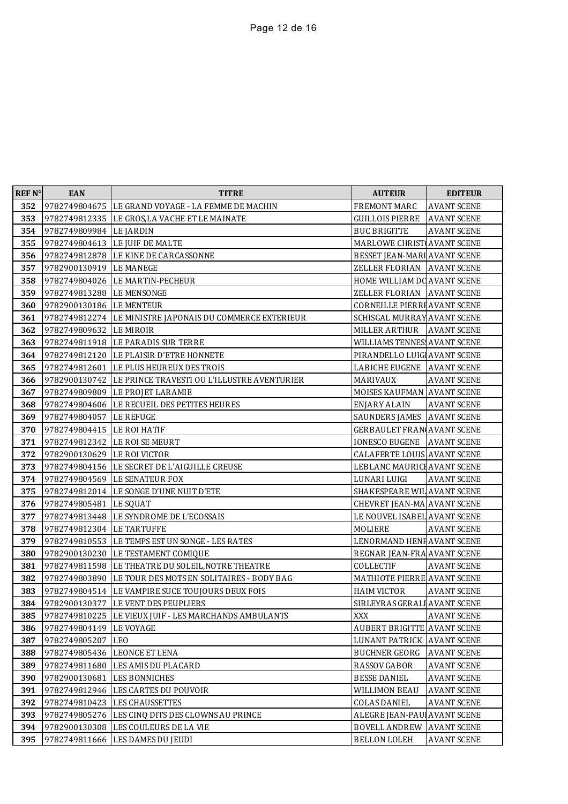| <b>REF N°</b> | <b>EAN</b>                  | <b>TITRE</b>                                              | <b>AUTEUR</b>                       | <b>EDITEUR</b>     |
|---------------|-----------------------------|-----------------------------------------------------------|-------------------------------------|--------------------|
| 352           |                             | 9782749804675   LE GRAND VOYAGE - LA FEMME DE MACHIN      | FREMONT MARC                        | <b>AVANT SCENE</b> |
| 353           |                             | 9782749812335 LE GROS, LA VACHE ET LE MAINATE             | <b>GUILLOIS PIERRE</b>              | <b>AVANT SCENE</b> |
| 354           | 9782749809984 LE JARDIN     |                                                           | <b>BUC BRIGITTE</b>                 | <b>AVANT SCENE</b> |
| 355           |                             | 9782749804613 LE JUIF DE MALTE                            | MARLOWE CHRIST AVANT SCENE          |                    |
| 356           |                             | 9782749812878 LE KINE DE CARCASSONNE                      | BESSET JEAN-MARI AVANT SCENE        |                    |
| 357           | 9782900130919 LE MANEGE     |                                                           | ZELLER FLORIAN AVANT SCENE          |                    |
| 358           |                             | 9782749804026 LE MARTIN-PECHEUR                           | HOME WILLIAM DO AVANT SCENE         |                    |
| 359           | 9782749813288 LE MENSONGE   |                                                           | ZELLER FLORIAN AVANT SCENE          |                    |
| 360           | 9782900130186 LE MENTEUR    |                                                           | <b>CORNEILLE PIERRI AVANT SCENE</b> |                    |
| 361           |                             | 9782749812274 LE MINISTRE JAPONAIS DU COMMERCE EXTERIEUR  | SCHISGAL MURRAY AVANT SCENE         |                    |
| 362           | 9782749809632 LE MIROIR     |                                                           | MILLER ARTHUR                       | <b>AVANT SCENE</b> |
| 363           |                             | 9782749811918 LE PARADIS SUR TERRE                        | WILLIAMS TENNES AVANT SCENE         |                    |
| 364           |                             | 9782749812120 LE PLAISIR D'ETRE HONNETE                   | PIRANDELLO LUIG AVANT SCENE         |                    |
| 365           |                             | 9782749812601 LE PLUS HEUREUX DES TROIS                   | LABICHE EUGENE AVANT SCENE          |                    |
| 366           |                             | 9782900130742 LE PRINCE TRAVESTI OU L'ILLUSTRE AVENTURIER | MARIVAUX                            | <b>AVANT SCENE</b> |
| 367           |                             | 9782749809809 LE PROJET LARAMIE                           | MOISES KAUFMAN AVANT SCENE          |                    |
| 368           |                             | 9782749804606 LE RECUEIL DES PETITES HEURES               | ENJARY ALAIN                        | <b>AVANT SCENE</b> |
| 369           | 9782749804057               | <b>LE REFUGE</b>                                          | SAUNDERS JAMES AVANT SCENE          |                    |
| 370           | 9782749804415 LE ROI HATIF  |                                                           | <b>GERBAULET FRAN AVANT SCENE</b>   |                    |
| 371           |                             | 9782749812342 LE ROI SE MEURT                             | <b>IONESCO EUGENE AVANT SCENE</b>   |                    |
| 372           | 9782900130629 LE ROI VICTOR |                                                           | <b>CALAFERTE LOUIS AVANT SCENE</b>  |                    |
| 373           |                             | 9782749804156 LE SECRET DE L'AIGUILLE CREUSE              | LEBLANC MAURICI AVANT SCENE         |                    |
| 374           |                             | 9782749804569 LE SENATEUR FOX                             | LUNARI LUIGI                        | <b>AVANT SCENE</b> |
| 375           |                             | 9782749812014 LE SONGE D'UNE NUIT D'ETE                   | SHAKESPEARE WIL AVANT SCENE         |                    |
| 376           | 9782749805481 LE SQUAT      |                                                           | CHEVRET JEAN-MA AVANT SCENE         |                    |
| 377           |                             | 9782749813448 LE SYNDROME DE L'ECOSSAIS                   | LE NOUVEL ISABEL AVANT SCENE        |                    |
| 378           | 9782749812304 LE TARTUFFE   |                                                           | MOLIERE                             | <b>AVANT SCENE</b> |
| 379           |                             | 9782749810553 LE TEMPS EST UN SONGE - LES RATES           | LENORMAND HENF AVANT SCENE          |                    |
| 380           |                             | 9782900130230 LE TESTAMENT COMIQUE                        | REGNAR JEAN-FRA AVANT SCENE         |                    |
| 381           |                             | 9782749811598 LE THEATRE DU SOLEIL, NOTRE THEATRE         | COLLECTIF                           | <b>AVANT SCENE</b> |
| 382           |                             | 9782749803890 LE TOUR DES MOTS EN SOLITAIRES - BODY BAG   | MATHIOTE PIERRE AVANT SCENE         |                    |
| 383           |                             | 9782749804514 LE VAMPIRE SUCE TOUJOURS DEUX FOIS          | <b>HAIM VICTOR</b>                  | <b>AVANT SCENE</b> |
| 384           |                             | 9782900130377 LE VENT DES PEUPLIERS                       | SIBLEYRAS GERALI AVANT SCENE        |                    |
|               |                             | 385 9782749810225 LE VIEUX JUIF - LES MARCHANDS AMBULANTS | <b>XXX</b>                          | <b>AVANT SCENE</b> |
| 386           | 9782749804149               | LE VOYAGE                                                 | AUBERT BRIGITTE AVANT SCENE         |                    |
| 387           | 9782749805207               | <b>LEO</b>                                                | LUNANT PATRICK AVANT SCENE          |                    |
| 388           | 9782749805436               | LEONCE ET LENA                                            | <b>BUCHNER GEORG</b>                | <b>AVANT SCENE</b> |
| 389           | 9782749811680               | LES AMIS DU PLACARD                                       | RASSOV GABOR                        | <b>AVANT SCENE</b> |
| 390           | 9782900130681               | LES BONNICHES                                             | <b>BESSE DANIEL</b>                 | <b>AVANT SCENE</b> |
| 391           | 9782749812946               | LES CARTES DU POUVOIR                                     | <b>WILLIMON BEAU</b>                | <b>AVANT SCENE</b> |
| 392           | 9782749810423               | <b>LES CHAUSSETTES</b>                                    | <b>COLAS DANIEL</b>                 | <b>AVANT SCENE</b> |
| 393           | 9782749805276               | LES CINQ DITS DES CLOWNS AU PRINCE                        | ALEGRE JEAN-PAUL AVANT SCENE        |                    |
| 394           | 9782900130308               | LES COULEURS DE LA VIE                                    | <b>BOVELL ANDREW</b>                | <b>AVANT SCENE</b> |
| 395           | 9782749811666               | LES DAMES DU JEUDI                                        | <b>BELLON LOLEH</b>                 | <b>AVANT SCENE</b> |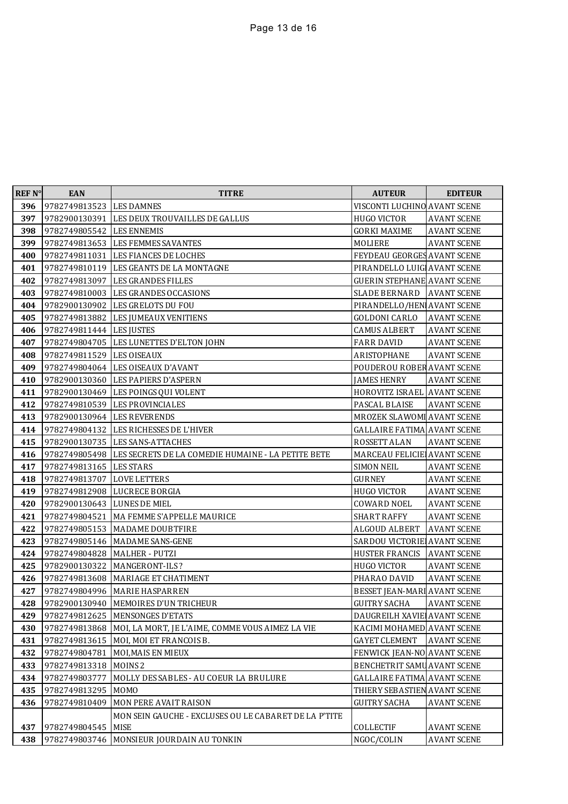| <b>REF N°</b> | <b>EAN</b>                   | <b>TITRE</b>                                                     | <b>AUTEUR</b>                      | <b>EDITEUR</b>     |
|---------------|------------------------------|------------------------------------------------------------------|------------------------------------|--------------------|
| 396           | 9782749813523 LES DAMNES     |                                                                  | VISCONTI LUCHINO AVANT SCENE       |                    |
| 397           |                              | 9782900130391 LES DEUX TROUVAILLES DE GALLUS                     | <b>HUGO VICTOR</b>                 | <b>AVANT SCENE</b> |
| 398           | 9782749805542   LES ENNEMIS  |                                                                  | <b>GORKI MAXIME</b>                | <b>AVANT SCENE</b> |
| 399           |                              | 9782749813653 LES FEMMES SAVANTES                                | MOLIERE                            | <b>AVANT SCENE</b> |
| 400           | 9782749811031                | LES FIANCES DE LOCHES                                            | FEYDEAU GEORGES AVANT SCENE        |                    |
| 401           |                              | 9782749810119 LES GEANTS DE LA MONTAGNE                          | PIRANDELLO LUIG AVANT SCENE        |                    |
| 402           | 9782749813097                | LES GRANDES FILLES                                               | <b>GUERIN STEPHANE AVANT SCENE</b> |                    |
| 403           |                              | 9782749810003 LES GRANDES OCCASIONS                              | <b>SLADE BERNARD</b>               | <b>AVANT SCENE</b> |
| 404           | 9782900130902                | LES GRELOTS DU FOU                                               | PIRANDELLO/HEN AVANT SCENE         |                    |
| 405           |                              | 9782749813882 LES JUMEAUX VENITIENS                              | GOLDONI CARLO                      | <b>AVANT SCENE</b> |
| 406           | 9782749811444   LES JUSTES   |                                                                  | <b>CAMUS ALBERT</b>                | <b>AVANT SCENE</b> |
| 407           |                              | 9782749804705 LES LUNETTES D'ELTON JOHN                          | <b>FARR DAVID</b>                  | <b>AVANT SCENE</b> |
| 408           | 9782749811529   LES OISEAUX  |                                                                  | ARISTOPHANE                        | <b>AVANT SCENE</b> |
| 409           |                              | 9782749804064 LES OISEAUX D'AVANT                                | POUDEROU ROBER AVANT SCENE         |                    |
| 410           |                              | 9782900130360 LES PAPIERS D'ASPERN                               | JAMES HENRY                        | <b>AVANT SCENE</b> |
| 411           |                              | 9782900130469 LES POINGS QUI VOLENT                              | HOROVITZ ISRAEL AVANT SCENE        |                    |
| 412           |                              | 9782749810539 LES PROVINCIALES                                   | PASCAL BLAISE                      | <b>AVANT SCENE</b> |
| 413           | 9782900130964 LES REVERENDS  |                                                                  | MROZEK SLAWOMI AVANT SCENE         |                    |
| 414           |                              | 9782749804132 LES RICHESSES DE L'HIVER                           | <b>GALLAIRE FATIMA AVANT SCENE</b> |                    |
| 415           |                              | 9782900130735 LES SANS-ATTACHES                                  | ROSSETT ALAN                       | <b>AVANT SCENE</b> |
| 416           |                              | 9782749805498 LES SECRETS DE LA COMEDIE HUMAINE - LA PETITE BETE | MARCEAU FELICIE AVANT SCENE        |                    |
| 417           | 9782749813165   LES STARS    |                                                                  | <b>SIMON NEIL</b>                  | <b>AVANT SCENE</b> |
| 418           | 9782749813707   LOVE LETTERS |                                                                  | <b>GURNEY</b>                      | <b>AVANT SCENE</b> |
| 419           |                              | 9782749812908   LUCRECE BORGIA                                   | <b>HUGO VICTOR</b>                 | <b>AVANT SCENE</b> |
| 420           | 9782900130643 LUNES DE MIEL  |                                                                  | COWARD NOEL                        | <b>AVANT SCENE</b> |
| 421           | 9782749804521                | MA FEMME S'APPELLE MAURICE                                       | <b>SHART RAFFY</b>                 | <b>AVANT SCENE</b> |
| 422           | 9782749805153                | <b>MADAME DOUBTFIRE</b>                                          | ALGOUD ALBERT                      | <b>AVANT SCENE</b> |
| 423           | 9782749805146                | <b>MADAME SANS-GENE</b>                                          | SARDOU VICTORIE AVANT SCENE        |                    |
| 424           | 9782749804828                | <b>MALHER - PUTZI</b>                                            | HUSTER FRANCIS                     | <b>AVANT SCENE</b> |
| 425           | 9782900130322                | <b>MANGERONT-ILS?</b>                                            | <b>HUGO VICTOR</b>                 | <b>AVANT SCENE</b> |
| 426           |                              | 9782749813608 MARIAGE ET CHATIMENT                               | PHARAO DAVID                       | <b>AVANT SCENE</b> |
| 427           |                              | 9782749804996 MARIE HASPARREN                                    | BESSET JEAN-MARI AVANT SCENE       |                    |
| 428           |                              | 9782900130940 MEMOIRES D'UN TRICHEUR                             | <b>GUITRY SACHA</b>                | <b>AVANT SCENE</b> |
|               |                              | 429 9782749812625 MENSONGES D'ETATS                              | DAUGREILH XAVIE AVANT SCENE        |                    |
| 430           | 9782749813868                | MOI, LA MORT, JE L'AIME, COMME VOUS AIMEZ LA VIE                 | KACIMI MOHAMED AVANT SCENE         |                    |
| 431           | 9782749813615                | MOI, MOI ET FRANCOIS B.                                          | <b>GAYET CLEMENT</b>               | <b>AVANT SCENE</b> |
| 432           | 9782749804781                | MOI, MAIS EN MIEUX                                               | FENWICK JEAN-NO AVANT SCENE        |                    |
| 433           | 9782749813318                | MOINS <sub>2</sub>                                               | BENCHETRIT SAMU AVANT SCENE        |                    |
| 434           | 9782749803777                | MOLLY DES SABLES - AU COEUR LA BRULURE                           | <b>GALLAIRE FATIMA AVANT SCENE</b> |                    |
| 435           | 9782749813295                | <b>MOMO</b>                                                      | THIERY SEBASTIEN AVANT SCENE       |                    |
| 436           | 9782749810409                | MON PERE AVAIT RAISON                                            | <b>GUITRY SACHA</b>                | <b>AVANT SCENE</b> |
|               |                              | MON SEIN GAUCHE - EXCLUSES OU LE CABARET DE LA P'TITE            |                                    |                    |
| 437           | 9782749804545                | <b>MISE</b>                                                      | COLLECTIF                          | <b>AVANT SCENE</b> |
| 438           | 9782749803746                | MONSIEUR JOURDAIN AU TONKIN                                      | NGOC/COLIN                         | <b>AVANT SCENE</b> |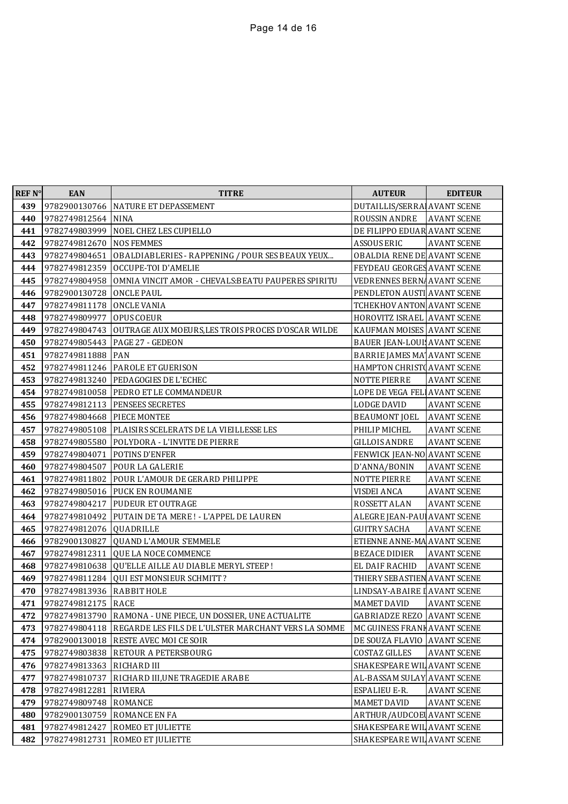| <b>REF N°</b> | <b>EAN</b>         | <b>TITRE</b>                                                | <b>AUTEUR</b>                      | <b>EDITEUR</b>     |
|---------------|--------------------|-------------------------------------------------------------|------------------------------------|--------------------|
| 439           | 9782900130766      | NATURE ET DEPASSEMENT                                       | DUTAILLIS/SERRA AVANT SCENE        |                    |
| 440           | 9782749812564      | <b>NINA</b>                                                 | ROUSSIN ANDRE                      | <b>AVANT SCENE</b> |
| 441           | 9782749803999      | NOEL CHEZ LES CUPIELLO                                      | DE FILIPPO EDUAR AVANT SCENE       |                    |
| 442           | 9782749812670      | <b>NOS FEMMES</b>                                           | ASSOUS ERIC                        | <b>AVANT SCENE</b> |
| 443           | 9782749804651      | OBALDIABLERIES - RAPPENING / POUR SES BEAUX YEUX            | OBALDIA RENE DE AVANT SCENE        |                    |
| 444           | 9782749812359      | OCCUPE-TOI D'AMELIE                                         | FEYDEAU GEORGES AVANT SCENE        |                    |
| 445           | 9782749804958      | OMNIA VINCIT AMOR - CHEVALS: BEATU PAUPERES SPIRITU         | VEDRENNES BERN, AVANT SCENE        |                    |
| 446           | 9782900130728      | <b>ONCLE PAUL</b>                                           | PENDLETON AUSTI AVANT SCENE        |                    |
| 447           | 9782749811178      | <b>ONCLE VANIA</b>                                          | TCHEKHOV ANTON AVANT SCENE         |                    |
| 448           | 9782749809977      | <b>OPUS COEUR</b>                                           | HOROVITZ ISRAEL AVANT SCENE        |                    |
| 449           | 9782749804743      | OUTRAGE AUX MOEURS, LES TROIS PROCES D'OSCAR WILDE          | KAUFMAN MOISES AVANT SCENE         |                    |
| 450           | 9782749805443      | <b>PAGE 27 - GEDEON</b>                                     | <b>BAUER JEAN-LOUI AVANT SCENE</b> |                    |
| 451           | 9782749811888      | <b>PAN</b>                                                  | BARRIE JAMES MA' AVANT SCENE       |                    |
| 452           |                    | 9782749811246   PAROLE ET GUERISON                          | HAMPTON CHRIST AVANT SCENE         |                    |
| 453           | 9782749813240      | <b>PEDAGOGIES DE L'ECHEC</b>                                | <b>NOTTE PIERRE</b>                | <b>AVANT SCENE</b> |
| 454           |                    | 9782749810058 PEDRO ET LE COMMANDEUR                        | LOPE DE VEGA FEL AVANT SCENE       |                    |
| 455           | 9782749812113      | PENSEES SECRETES                                            | <b>LODGE DAVID</b>                 | <b>AVANT SCENE</b> |
| 456           | 9782749804668      | PIECE MONTEE                                                | <b>BEAUMONT JOEL</b>               | <b>AVANT SCENE</b> |
| 457           |                    | 9782749805108   PLAISIRS SCELERATS DE LA VIEILLESSE LES     | PHILIP MICHEL                      | <b>AVANT SCENE</b> |
| 458           | 9782749805580      | POLYDORA - L'INVITE DE PIERRE                               | <b>GILLOIS ANDRE</b>               | <b>AVANT SCENE</b> |
| 459           | 9782749804071      | <b>POTINS D'ENFER</b>                                       | FENWICK JEAN-NO AVANT SCENE        |                    |
| 460           | 9782749804507      | <b>POUR LA GALERIE</b>                                      | D'ANNA/BONIN                       | <b>AVANT SCENE</b> |
| 461           | 9782749811802      | POUR L'AMOUR DE GERARD PHILIPPE                             | <b>NOTTE PIERRE</b>                | <b>AVANT SCENE</b> |
| 462           | 9782749805016      | PUCK EN ROUMANIE                                            | <b>VISDEI ANCA</b>                 | <b>AVANT SCENE</b> |
| 463           | 9782749804217      | <b>PUDEUR ET OUTRAGE</b>                                    | ROSSETT ALAN                       | <b>AVANT SCENE</b> |
| 464           | 9782749810492      | PUTAIN DE TA MERE ! - L'APPEL DE LAUREN                     | ALEGRE JEAN-PAU AVANT SCENE        |                    |
| 465           | 9782749812076      | <b>QUADRILLE</b>                                            | <b>GUITRY SACHA</b>                | <b>AVANT SCENE</b> |
| 466           | 9782900130827      | QUAND L'AMOUR S'EMMELE                                      | ETIENNE ANNE-MA AVANT SCENE        |                    |
| 467           | 9782749812311      | QUE LA NOCE COMMENCE                                        | <b>BEZACE DIDIER</b>               | <b>AVANT SCENE</b> |
| 468           | 9782749810638      | OU'ELLE AILLE AU DIABLE MERYL STEEP !                       | <b>EL DAIF RACHID</b>              | <b>AVANT SCENE</b> |
| 469           | 9782749811284      | <b>QUI EST MONSIEUR SCHMITT?</b>                            | THIERY SEBASTIEN AVANT SCENE       |                    |
| 470           | 9782749813936      | <b>RABBIT HOLE</b>                                          | LINDSAY-ABAIRE I AVANT SCENE       |                    |
| 471           | 9782749812175 RACE |                                                             | <b>MAMET DAVID</b>                 | <b>AVANT SCENE</b> |
| 472           |                    | 9782749813790 RAMONA - UNE PIECE, UN DOSSIER, UNE ACTUALITE | <b>GABRIADZE REZO AVANT SCENE</b>  |                    |
| 473           | 9782749804118      | REGARDE LES FILS DE L'ULSTER MARCHANT VERS LA SOMME         | MC GUINESS FRANK AVANT SCENE       |                    |
| 474           | 9782900130018      | RESTE AVEC MOI CE SOIR                                      | DE SOUZA FLAVIO   AVANT SCENE      |                    |
| 475           | 9782749803838      | RETOUR A PETERSBOURG                                        | <b>COSTAZ GILLES</b>               | <b>AVANT SCENE</b> |
| 476           | 9782749813363      | RICHARD III                                                 | SHAKESPEARE WIL AVANT SCENE        |                    |
| 477           | 9782749810737      | RICHARD III, UNE TRAGEDIE ARABE                             | AL-BASSAM SULAY AVANT SCENE        |                    |
| 478           | 9782749812281      | RIVIERA                                                     | ESPALIEU E-R.                      | <b>AVANT SCENE</b> |
| 479           | 9782749809748      | ROMANCE                                                     | MAMET DAVID                        | <b>AVANT SCENE</b> |
| 480           | 9782900130759      | ROMANCE EN FA                                               | <b>ARTHUR/AUDCOEL AVANT SCENE</b>  |                    |
| 481           | 9782749812427      | ROMEO ET JULIETTE                                           | SHAKESPEARE WIL AVANT SCENE        |                    |
| 482           | 9782749812731      | ROMEO ET JULIETTE                                           | SHAKESPEARE WIL AVANT SCENE        |                    |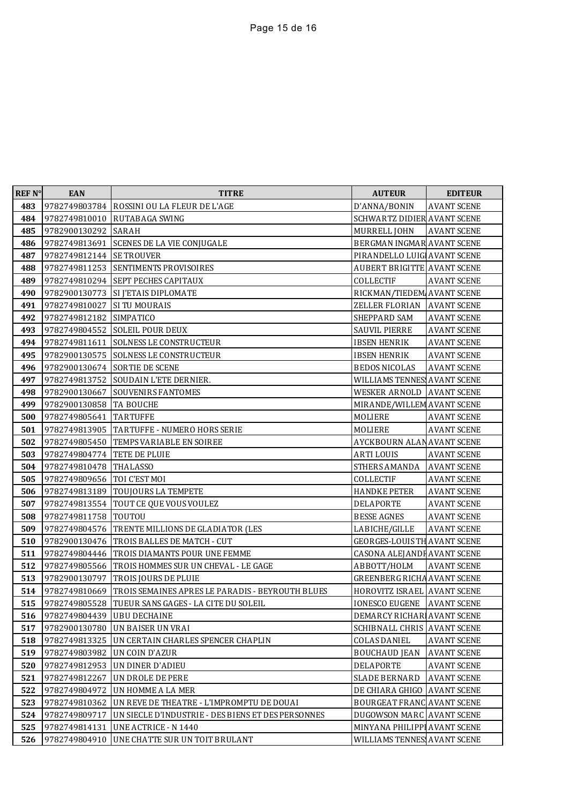| <b>REF N°</b> | <b>EAN</b>                 | <b>TITRE</b>                                       | <b>AUTEUR</b>                       | <b>EDITEUR</b>     |
|---------------|----------------------------|----------------------------------------------------|-------------------------------------|--------------------|
| 483           | 9782749803784              | ROSSINI OU LA FLEUR DE L'AGE                       | D'ANNA/BONIN                        | <b>AVANT SCENE</b> |
| 484           | 9782749810010              | <b>RUTABAGA SWING</b>                              | SCHWARTZ DIDIER AVANT SCENE         |                    |
| 485           | 9782900130292              | SARAH                                              | MURRELL JOHN                        | <b>AVANT SCENE</b> |
| 486           | 9782749813691              | <b>SCENES DE LA VIE CONJUGALE</b>                  | BERGMAN INGMAR AVANT SCENE          |                    |
| 487           | 9782749812144   SE TROUVER |                                                    | PIRANDELLO LUIG AVANT SCENE         |                    |
| 488           | 9782749811253              | SENTIMENTS PROVISOIRES                             | <b>AUBERT BRIGITTE AVANT SCENE</b>  |                    |
| 489           | 9782749810294              | SEPT PECHES CAPITAUX                               | COLLECTIF                           | <b>AVANT SCENE</b> |
| 490           | 9782900130773              | <b>SI J'ETAIS DIPLOMATE</b>                        | RICKMAN/TIEDEM AVANT SCENE          |                    |
| 491           | 9782749810027              | SI TU MOURAIS                                      | ZELLER FLORIAN AVANT SCENE          |                    |
| 492           | 9782749812182              | <b>SIMPATICO</b>                                   | SHEPPARD SAM                        | <b>AVANT SCENE</b> |
| 493           | 9782749804552              | <b>SOLEIL POUR DEUX</b>                            | SAUVIL PIERRE                       | <b>AVANT SCENE</b> |
| 494           | 9782749811611              | SOLNESS LE CONSTRUCTEUR                            | <b>IBSEN HENRIK</b>                 | <b>AVANT SCENE</b> |
| 495           | 9782900130575              | SOLNESS LE CONSTRUCTEUR                            | <b>IBSEN HENRIK</b>                 | <b>AVANT SCENE</b> |
| 496           | 9782900130674              | <b>SORTIE DE SCENE</b>                             | <b>BEDOS NICOLAS</b>                | <b>AVANT SCENE</b> |
| 497           | 9782749813752              | SOUDAIN L'ETE DERNIER.                             | WILLIAMS TENNES AVANT SCENE         |                    |
| 498           | 9782900130667              | SOUVENIRS FANTOMES                                 | WESKER ARNOLD AVANT SCENE           |                    |
| 499           | 9782900130858 TA BOUCHE    |                                                    | MIRANDE/WILLEM AVANT SCENE          |                    |
| 500           | 9782749805641              | <b>TARTUFFE</b>                                    | MOLIERE                             | <b>AVANT SCENE</b> |
| 501           | 9782749813905              | <b>TARTUFFE - NUMERO HORS SERIE</b>                | MOLIERE                             | <b>AVANT SCENE</b> |
| 502           | 9782749805450              | TEMPS VARIABLE EN SOIREE                           | AYCKBOURN ALAN AVANT SCENE          |                    |
| 503           | 9782749804774              | TETE DE PLUIE                                      | <b>ARTILOUIS</b>                    | <b>AVANT SCENE</b> |
| 504           | 9782749810478              | <b>THALASSO</b>                                    | STHERS AMANDA                       | <b>AVANT SCENE</b> |
| 505           | 9782749809656              | TOI C'EST MOI                                      | COLLECTIF                           | <b>AVANT SCENE</b> |
| 506           | 9782749813189              | TOUJOURS LA TEMPETE                                | <b>HANDKE PETER</b>                 | <b>AVANT SCENE</b> |
| 507           | 9782749813554              | TOUT CE QUE VOUS VOULEZ                            | DELAPORTE                           | <b>AVANT SCENE</b> |
| 508           | 9782749811758              | TOUTOU                                             | <b>BESSE AGNES</b>                  | <b>AVANT SCENE</b> |
| 509           | 9782749804576              | TRENTE MILLIONS DE GLADIATOR (LES                  | LABICHE/GILLE                       | <b>AVANT SCENE</b> |
| 510           | 9782900130476              | TROIS BALLES DE MATCH - CUT                        | <b>GEORGES-LOUIS TH AVANT SCENE</b> |                    |
| 511           | 9782749804446              | TROIS DIAMANTS POUR UNE FEMME                      | CASONA ALEJANDI AVANT SCENE         |                    |
| 512           | 9782749805566              | TROIS HOMMES SUR UN CHEVAL - LE GAGE               | ABBOTT/HOLM                         | <b>AVANT SCENE</b> |
| 513           | 9782900130797              | TROIS JOURS DE PLUIE                               | <b>GREENBERG RICHA AVANT SCENE</b>  |                    |
| 514           | 9782749810669              | TROIS SEMAINES APRES LE PARADIS - BEYROUTH BLUES   | <b>HOROVITZ ISRAEL AVANT SCENE</b>  |                    |
| 515           | 9782749805528              | TUEUR SANS GAGES - LA CITE DU SOLEIL               | <b>IONESCO EUGENE AVANT SCENE</b>   |                    |
| 516           | 9782749804439 UBU DECHAINE |                                                    | DEMARCY RICHAR AVANT SCENE          |                    |
| 517           | 9782900130780              | UN BAISER UN VRAI                                  | <b>SCHIBNALL CHRIS AVANT SCENE</b>  |                    |
| 518           | 9782749813325              | UN CERTAIN CHARLES SPENCER CHAPLIN                 | <b>COLAS DANIEL</b>                 | <b>AVANT SCENE</b> |
| 519           | 9782749803982              | UN COIN D'AZUR                                     | <b>BOUCHAUD JEAN</b>                | <b>AVANT SCENE</b> |
| 520           | 9782749812953              | UN DINER D'ADIEU                                   | DELAPORTE                           | <b>AVANT SCENE</b> |
| 521           | 9782749812267              | UN DROLE DE PERE                                   | <b>SLADE BERNARD</b>                | <b>AVANT SCENE</b> |
| 522           | 9782749804972              | UN HOMME A LA MER                                  | DE CHIARA GHIGO AVANT SCENE         |                    |
| 523           | 9782749810362              | UN REVE DE THEATRE - L'IMPROMPTU DE DOUAI          | BOURGEAT FRANC AVANT SCENE          |                    |
| 524           | 9782749809717              | UN SIECLE D'INDUSTRIE - DES BIENS ET DES PERSONNES | DUGOWSON MARC AVANT SCENE           |                    |
| 525           | 9782749814131              | UNE ACTRICE - N 1440                               | MINYANA PHILIPPI AVANT SCENE        |                    |
| 526           | 9782749804910              | UNE CHATTE SUR UN TOIT BRULANT                     | WILLIAMS TENNES AVANT SCENE         |                    |